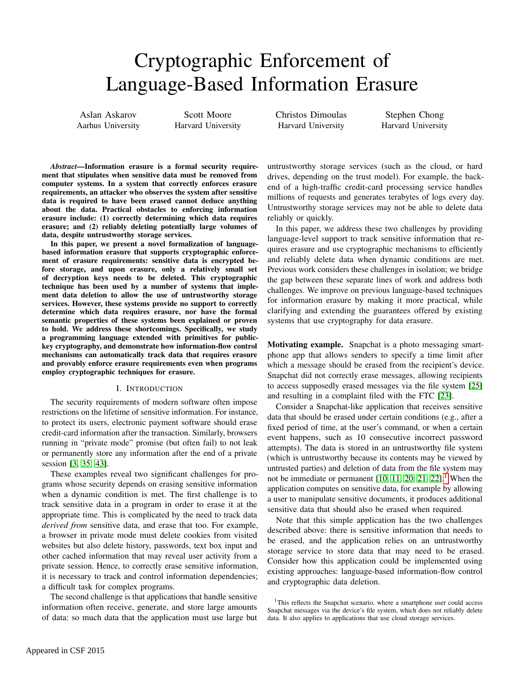# <span id="page-0-0"></span>Cryptographic Enforcement of Language-Based Information Erasure

Aslan Askarov Aarhus University

Scott Moore Harvard University Christos Dimoulas Harvard University

Stephen Chong Harvard University

*Abstract*—Information erasure is a formal security requirement that stipulates when sensitive data must be removed from computer systems. In a system that correctly enforces erasure requirements, an attacker who observes the system after sensitive data is required to have been erased cannot deduce anything about the data. Practical obstacles to enforcing information erasure include: (1) correctly determining which data requires erasure; and (2) reliably deleting potentially large volumes of data, despite untrustworthy storage services.

In this paper, we present a novel formalization of languagebased information erasure that supports cryptographic enforcement of erasure requirements: sensitive data is encrypted before storage, and upon erasure, only a relatively small set of decryption keys needs to be deleted. This cryptographic technique has been used by a number of systems that implement data deletion to allow the use of untrustworthy storage services. However, these systems provide no support to correctly determine which data requires erasure, nor have the formal semantic properties of these systems been explained or proven to hold. We address these shortcomings. Specifically, we study a programming language extended with primitives for publickey cryptography, and demonstrate how information-flow control mechanisms can automatically track data that requires erasure and provably enforce erasure requirements even when programs employ cryptographic techniques for erasure.

#### I. INTRODUCTION

The security requirements of modern software often impose restrictions on the lifetime of sensitive information. For instance, to protect its users, electronic payment software should erase credit-card information after the transaction. Similarly, browsers running in "private mode" promise (but often fail) to not leak or permanently store any information after the end of a private session [\[3,](#page-12-0) [35,](#page-13-0) [43\]](#page-13-1).

These examples reveal two significant challenges for programs whose security depends on erasing sensitive information when a dynamic condition is met. The first challenge is to track sensitive data in a program in order to erase it at the appropriate time. This is complicated by the need to track data *derived from* sensitive data, and erase that too. For example, a browser in private mode must delete cookies from visited websites but also delete history, passwords, text box input and other cached information that may reveal user activity from a private session. Hence, to correctly erase sensitive information, it is necessary to track and control information dependencies; a difficult task for complex programs.

The second challenge is that applications that handle sensitive information often receive, generate, and store large amounts of data: so much data that the application must use large but untrustworthy storage services (such as the cloud, or hard drives, depending on the trust model). For example, the backend of a high-traffic credit-card processing service handles millions of requests and generates terabytes of logs every day. Untrustworthy storage services may not be able to delete data reliably or quickly.

In this paper, we address these two challenges by providing language-level support to track sensitive information that requires erasure and use cryptographic mechanisms to efficiently and reliably delete data when dynamic conditions are met. Previous work considers these challenges in isolation; we bridge the gap between these separate lines of work and address both challenges. We improve on previous language-based techniques for information erasure by making it more practical, while clarifying and extending the guarantees offered by existing systems that use cryptography for data erasure.

Motivating example. Snapchat is a photo messaging smartphone app that allows senders to specify a time limit after which a message should be erased from the recipient's device. Snapchat did not correctly erase messages, allowing recipients to access supposedly erased messages via the file system [\[25\]](#page-13-2) and resulting in a complaint filed with the FTC [\[23\]](#page-13-3).

Consider a Snapchat-like application that receives sensitive data that should be erased under certain conditions (e.g., after a fixed period of time, at the user's command, or when a certain event happens, such as 10 consecutive incorrect password attempts). The data is stored in an untrustworthy file system (which is untrustworthy because its contents may be viewed by untrusted parties) and deletion of data from the file system may not be immediate or permanent  $[10, 11, 20, 21, 22]$  $[10, 11, 20, 21, 22]$  $[10, 11, 20, 21, 22]$  $[10, 11, 20, 21, 22]$  $[10, 11, 20, 21, 22]$  $[10, 11, 20, 21, 22]$  $[10, 11, 20, 21, 22]$  $[10, 11, 20, 21, 22]$  $[10, 11, 20, 21, 22]$ .<sup>1</sup> When the application computes on sensitive data, for example by allowing a user to manipulate sensitive documents, it produces additional sensitive data that should also be erased when required.

Note that this simple application has the two challenges described above: there is sensitive information that needs to be erased, and the application relies on an untrustworthy storage service to store data that may need to be erased. Consider how this application could be implemented using existing approaches: language-based information-flow control and cryptographic data deletion.

<sup>&</sup>lt;sup>1</sup>This reflects the Snapchat scenario, where a smartphone user could access Snapchat messages via the device's file system, which does not reliably delete data. It also applies to applications that use cloud storage services.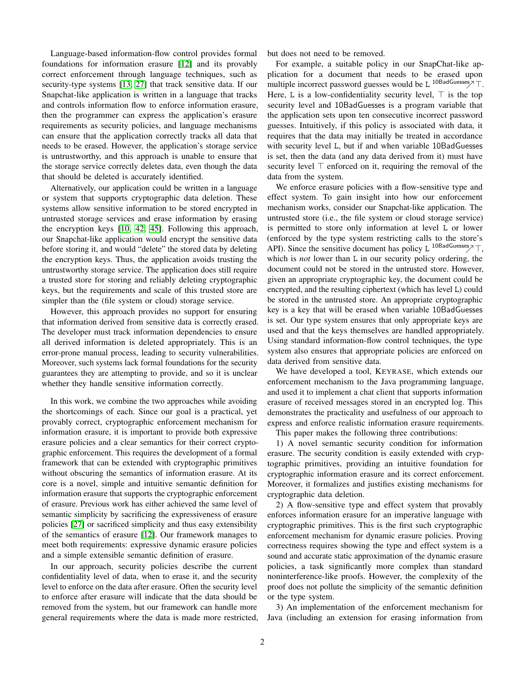Language-based information-flow control provides formal foundations for information erasure [\[12\]](#page-12-3) and its provably correct enforcement through language techniques, such as security-type systems [\[13,](#page-12-4) [27\]](#page-13-7) that track sensitive data. If our Snapchat-like application is written in a language that tracks and controls information flow to enforce information erasure, then the programmer can express the application's erasure requirements as security policies, and language mechanisms can ensure that the application correctly tracks all data that needs to be erased. However, the application's storage service is untrustworthy, and this approach is unable to ensure that the storage service correctly deletes data, even though the data that should be deleted is accurately identified.

Alternatively, our application could be written in a language or system that supports cryptographic data deletion. These systems allow sensitive information to be stored encrypted in untrusted storage services and erase information by erasing the encryption keys [\[10,](#page-12-1) [42,](#page-13-8) [45\]](#page-13-9). Following this approach, our Snapchat-like application would encrypt the sensitive data before storing it, and would "delete" the stored data by deleting the encryption keys. Thus, the application avoids trusting the untrustworthy storage service. The application does still require a trusted store for storing and reliably deleting cryptographic keys, but the requirements and scale of this trusted store are simpler than the (file system or cloud) storage service.

However, this approach provides no support for ensuring that information derived from sensitive data is correctly erased. The developer must track information dependencies to ensure all derived information is deleted appropriately. This is an error-prone manual process, leading to security vulnerabilities. Moreover, such systems lack formal foundations for the security guarantees they are attempting to provide, and so it is unclear whether they handle sensitive information correctly.

In this work, we combine the two approaches while avoiding the shortcomings of each. Since our goal is a practical, yet provably correct, cryptographic enforcement mechanism for information erasure, it is important to provide both expressive erasure policies and a clear semantics for their correct cryptographic enforcement. This requires the development of a formal framework that can be extended with cryptographic primitives without obscuring the semantics of information erasure. At its core is a novel, simple and intuitive semantic definition for information erasure that supports the cryptographic enforcement of erasure. Previous work has either achieved the same level of semantic simplicity by sacrificing the expressiveness of erasure policies [\[27\]](#page-13-7) or sacrificed simplicity and thus easy extensibility of the semantics of erasure [\[12\]](#page-12-3). Our framework manages to meet both requirements: expressive dynamic erasure policies and a simple extensible semantic definition of erasure.

In our approach, security policies describe the current confidentiality level of data, when to erase it, and the security level to enforce on the data after erasure. Often the security level to enforce after erasure will indicate that the data should be removed from the system, but our framework can handle more general requirements where the data is made more restricted, but does not need to be removed.

For example, a suitable policy in our SnapChat-like application for a document that needs to be erased upon multiple incorrect password guesses would be L  $^{10BadGuesses}\gamma$  T. Here, L is a low-confidentiality security level,  $\top$  is the top security level and 10BadGuesses is a program variable that the application sets upon ten consecutive incorrect password guesses. Intuitively, if this policy is associated with data, it requires that the data may initially be treated in accordance with security level L, but if and when variable 10BadGuesses is set, then the data (and any data derived from it) must have security level  $\top$  enforced on it, requiring the removal of the data from the system.

We enforce erasure policies with a flow-sensitive type and effect system. To gain insight into how our enforcement mechanism works, consider our Snapchat-like application. The untrusted store (i.e., the file system or cloud storage service) is permitted to store only information at level L or lower (enforced by the type system restricting calls to the store's API). Since the sensitive document has policy L  $^{10BadGuesses}\sim \top$ , which is *not* lower than L in our security policy ordering, the document could not be stored in the untrusted store. However, given an appropriate cryptographic key, the document could be encrypted, and the resulting ciphertext (which has level L) could be stored in the untrusted store. An appropriate cryptographic key is a key that will be erased when variable 10BadGuesses is set. Our type system ensures that only appropriate keys are used and that the keys themselves are handled appropriately. Using standard information-flow control techniques, the type system also ensures that appropriate policies are enforced on data derived from sensitive data.

We have developed a tool, KEYRASE, which extends our enforcement mechanism to the Java programming language, and used it to implement a chat client that supports information erasure of received messages stored in an encrypted log. This demonstrates the practicality and usefulness of our approach to express and enforce realistic information erasure requirements. This paper makes the following three contributions:

1) A novel semantic security condition for information erasure. The security condition is easily extended with cryptographic primitives, providing an intuitive foundation for cryptographic information erasure and its correct enforcement. Moreover, it formalizes and justifies existing mechanisms for cryptographic data deletion.

2) A flow-sensitive type and effect system that provably enforces information erasure for an imperative language with cryptographic primitives. This is the first such cryptographic enforcement mechanism for dynamic erasure policies. Proving correctness requires showing the type and effect system is a sound and accurate static approximation of the dynamic erasure policies, a task significantly more complex than standard noninterference-like proofs. However, the complexity of the proof does not pollute the simplicity of the semantic definition or the type system.

3) An implementation of the enforcement mechanism for Java (including an extension for erasing information from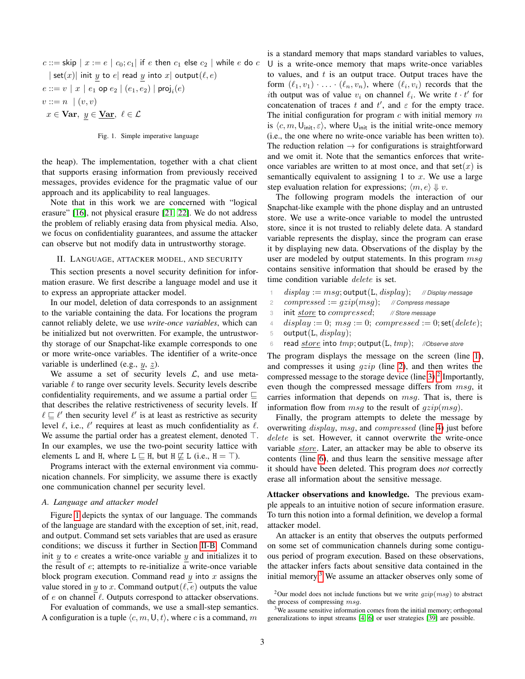$c ::=$ skip  $x := e \mid c_0; c_1$  if e then  $c_1$  else  $c_2$  while e do c

 $|\operatorname{set}(x)|$  init y to  $e|$  read y into  $x|$  output $(\ell, e)$  $e ::= v \mid x \mid e_1$  op  $e_2 \mid (e_1, e_2) \mid \mathsf{proj}_i(e)$  $v ::= n \mid (v, v)$  $x \in \textbf{Var}, y \in \textbf{Var}, \ell \in \mathcal{L}$ 

<span id="page-2-0"></span>Fig. 1. Simple imperative language

the heap). The implementation, together with a chat client that supports erasing information from previously received messages, provides evidence for the pragmatic value of our approach and its applicability to real languages.

Note that in this work we are concerned with "logical erasure" [\[16\]](#page-12-5), not physical erasure [\[21,](#page-13-5) [22\]](#page-13-6). We do not address the problem of reliably erasing data from physical media. Also, we focus on confidentiality guarantees, and assume the attacker can observe but not modify data in untrustworthy storage.

#### <span id="page-2-7"></span>II. LANGUAGE, ATTACKER MODEL, AND SECURITY

This section presents a novel security definition for information erasure. We first describe a language model and use it to express an appropriate attacker model.

In our model, deletion of data corresponds to an assignment to the variable containing the data. For locations the program cannot reliably delete, we use *write-once variables*, which can be initialized but not overwritten. For example, the untrustworthy storage of our Snapchat-like example corresponds to one or more write-once variables. The identifier of a write-once variable is underlined (e.g.,  $y$ ,  $z$ ).

We assume a set of security levels  $\mathcal{L}$ , and use metavariable  $\ell$  to range over security levels. Security levels describe confidentiality requirements, and we assume a partial order  $\sqsubseteq$ that describes the relative restrictiveness of security levels. If  $\ell \sqsubseteq \ell'$  then security level  $\ell'$  is at least as restrictive as security level  $\ell$ , i.e.,  $\ell'$  requires at least as much confidentiality as  $\ell$ . We assume the partial order has a greatest element, denoted  $\top$ . In our examples, we use the two-point security lattice with elements L and H, where L  $\sqsubseteq$  H, but H  $\not\sqsubseteq$  L (i.e., H =  $\top$ ).

Programs interact with the external environment via communication channels. For simplicity, we assume there is exactly one communication channel per security level.

## *A. Language and attacker model*

Figure [1](#page-2-0) depicts the syntax of our language. The commands of the language are standard with the exception of set, init,read, and output. Command set sets variables that are used as erasure conditions; we discuss it further in Section [II-B.](#page-3-0) Command init  $y$  to  $e$  creates a write-once variable  $y$  and initializes it to the result of  $e$ ; attempts to re-initialize a write-once variable block program execution. Command read  $y$  into  $x$  assigns the value stored in y to x. Command output( $(\ell, e)$ ) outputs the value of  $e$  on channel  $\ell$ . Outputs correspond to attacker observations.

For evaluation of commands, we use a small-step semantics. A configuration is a tuple  $\langle c, m, U, t \rangle$ , where c is a command, m

is a standard memory that maps standard variables to values, U is a write-once memory that maps write-once variables to values, and  $t$  is an output trace. Output traces have the form  $(\ell_1, v_1) \cdot \ldots \cdot (\ell_n, v_n)$ , where  $(\ell_i, v_i)$  records that the *i*th output was of value  $v_i$  on channel  $\ell_i$ . We write  $t \cdot t'$  for concatenation of traces t and  $t'$ , and  $\varepsilon$  for the empty trace. The initial configuration for program  $c$  with initial memory  $m$ is  $\langle c, m, U_{\text{init}}, \varepsilon \rangle$ , where  $U_{\text{init}}$  is the initial write-once memory (i.e., the one where no write-once variable has been written to). The reduction relation  $\rightarrow$  for configurations is straightforward and we omit it. Note that the semantics enforces that writeonce variables are written to at most once, and that  $set(x)$  is semantically equivalent to assigning 1 to x. We use a large step evaluation relation for expressions;  $\langle m, e \rangle \Downarrow v$ .

The following program models the interaction of our Snapchat-like example with the phone display and an untrusted store. We use a write-once variable to model the untrusted store, since it is not trusted to reliably delete data. A standard variable represents the display, since the program can erase it by displaying new data. Observations of the display by the user are modeled by output statements. In this program  $msg$ contains sensitive information that should be erased by the time condition variable delete is set.

- <span id="page-2-1"></span><sup>1</sup> display := msg; output(L, display); *// Display message*
- <span id="page-2-2"></span>2 compressed := gzip(msg); *// Compress message*
- <span id="page-2-3"></span>3 init store to compressed; *// Store message*
- <span id="page-2-4"></span>4 display := 0; msq := 0; compressed := 0; set(delete);
- <span id="page-2-6"></span>5 output  $(L, display)$ ;
- <span id="page-2-5"></span><sup>6</sup> read store into tmp; output(L, tmp); *//Observe store*

The program displays the message on the screen (line [1\)](#page-2-1), and compresses it using  $qzip$  (line [2\)](#page-2-2), and then writes the compressed message to the storage device (line  $3$ ).<sup>[2](#page-0-0)</sup> Importantly, even though the compressed message differs from msq, it carries information that depends on msg. That is, there is information flow from  $msg$  to the result of  $qzip(msg)$ .

Finally, the program attempts to delete the message by overwriting display, msg, and compressed (line [4\)](#page-2-4) just before delete is set. However, it cannot overwrite the write-once variable *store*. Later, an attacker may be able to observe its contents (line [6\)](#page-2-5), and thus learn the sensitive message after it should have been deleted. This program does *not* correctly erase all information about the sensitive message.

Attacker observations and knowledge. The previous example appeals to an intuitive notion of secure information erasure. To turn this notion into a formal definition, we develop a formal attacker model.

An attacker is an entity that observes the outputs performed on some set of communication channels during some contiguous period of program execution. Based on these observations, the attacker infers facts about sensitive data contained in the initial memory.<sup>[3](#page-0-0)</sup> We assume an attacker observes only some of

<sup>&</sup>lt;sup>2</sup>Our model does not include functions but we write  $gzip(msg)$  to abstract the process of compressing msg.

 $3\overline{W}$  assume sensitive information comes from the initial memory; orthogonal generalizations to input streams [\[4,](#page-12-6) [6\]](#page-12-7) or user strategies [\[39\]](#page-13-10) are possible.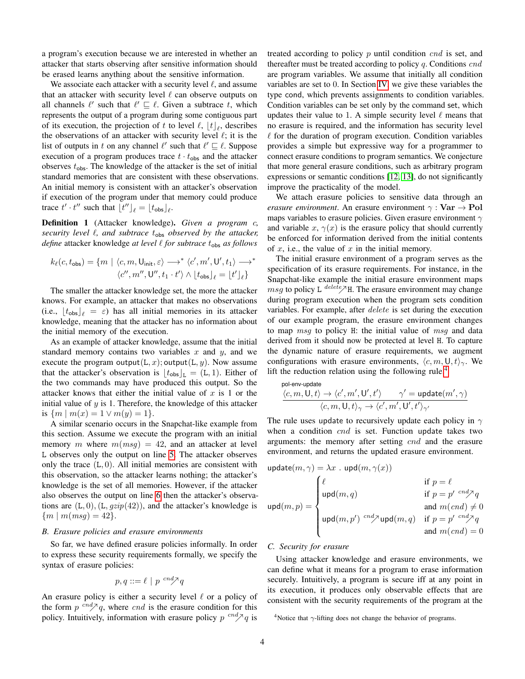a program's execution because we are interested in whether an attacker that starts observing after sensitive information should be erased learns anything about the sensitive information.

We associate each attacker with a security level  $\ell$ , and assume that an attacker with security level  $\ell$  can observe outputs on all channels  $\ell'$  such that  $\ell' \sqsubseteq \ell$ . Given a subtrace t, which represents the output of a program during some contiguous part of its execution, the projection of t to level  $\ell$ ,  $\lfloor t \rfloor_{\ell}$ , describes the observations of an attacker with security level  $\ell$ ; it is the list of outputs in t on any channel  $\ell'$  such that  $\ell' \sqsubseteq \ell$ . Suppose execution of a program produces trace  $t \cdot t_{\text{obs}}$  and the attacker observes  $t_{obs}$ . The knowledge of the attacker is the set of initial standard memories that are consistent with these observations. An initial memory is consistent with an attacker's observation if execution of the program under that memory could produce trace  $t' \cdot t''$  such that  $\lfloor t'' \rfloor_\ell = \lfloor t_{\text{obs}} \rfloor_\ell$ .

<span id="page-3-1"></span>Definition 1 (Attacker knowledge). *Given a program* c*, security level*  $\ell$ *, and subtrace t*<sub>obs</sub> *observed by the attacker, define* attacker knowledge *at level*  $\ell$  *for subtrace*  $t_{\text{obs}}$  *as follows* 

$$
k_{\ell}(c, t_{\text{obs}}) = \{m \mid \langle c, m, U_{\text{init}}, \varepsilon \rangle \longrightarrow^* \langle c', m', U', t_1 \rangle \longrightarrow^* \langle c'', m'', U'', t_1 \cdot t' \rangle \wedge \lfloor t_{\text{obs}} \rfloor_{\ell} = \lfloor t' \rfloor_{\ell} \}
$$

The smaller the attacker knowledge set, the more the attacker knows. For example, an attacker that makes no observations (i.e.,  $[t_{obs}]_{\ell} = \varepsilon$ ) has all initial memories in its attacker knowledge, meaning that the attacker has no information about the initial memory of the execution.

As an example of attacker knowledge, assume that the initial standard memory contains two variables  $x$  and  $y$ , and we execute the program output(L, x); output(L, y). Now assume that the attacker's observation is  $|t_{obs}|_L = (L, 1)$ . Either of the two commands may have produced this output. So the attacker knows that either the initial value of  $x$  is 1 or the initial value of  $y$  is 1. Therefore, the knowledge of this attacker is  $\{m \mid m(x) = 1 \vee m(y) = 1\}.$ 

A similar scenario occurs in the Snapchat-like example from this section. Assume we execute the program with an initial memory m where  $m(msg) = 42$ , and an attacker at level L observes only the output on line [5.](#page-2-6) The attacker observes only the trace  $(L, 0)$ . All initial memories are consistent with this observation, so the attacker learns nothing; the attacker's knowledge is the set of all memories. However, if the attacker also observes the output on line [6](#page-2-5) then the attacker's observations are  $(L, 0)$ ,  $(L, q\text{zip}(42))$ , and the attacker's knowledge is  ${m \mid m(msg) = 42}.$ 

## <span id="page-3-0"></span>*B. Erasure policies and erasure environments*

So far, we have defined erasure policies informally. In order to express these security requirements formally, we specify the syntax of erasure policies:

$$
p, q ::= \ell \mid p \text{ } ^{cnd} \nearrow q
$$

An erasure policy is either a security level  $\ell$  or a policy of the form  $p^{end} \nearrow q$ , where cnd is the erasure condition for this policy. Intuitively, information with erasure policy  $p^{end}$  is treated according to policy p until condition cnd is set, and thereafter must be treated according to policy  $q$ . Conditions  $cnd$ are program variables. We assume that initially all condition variables are set to 0. In Section [IV,](#page-7-0) we give these variables the type cond, which prevents assignments to condition variables. Condition variables can be set only by the command set, which updates their value to 1. A simple security level  $\ell$  means that no erasure is required, and the information has security level  $\ell$  for the duration of program execution. Condition variables provides a simple but expressive way for a programmer to connect erasure conditions to program semantics. We conjecture that more general erasure conditions, such as arbitrary program expressions or semantic conditions [\[12,](#page-12-3) [13\]](#page-12-4), do not significantly improve the practicality of the model.

We attach erasure policies to sensitive data through an *erasure environment*. An erasure environment  $\gamma$  :  $Var \rightarrow Pol$ maps variables to erasure policies. Given erasure environment  $\gamma$ and variable x,  $\gamma(x)$  is the erasure policy that should currently be enforced for information derived from the initial contents of  $x$ , i.e., the value of  $x$  in the initial memory.

The initial erasure environment of a program serves as the specification of its erasure requirements. For instance, in the Snapchat-like example the initial erasure environment maps  $msg$  to policy L  $^{delete}$  H. The erasure environment may change during program execution when the program sets condition variables. For example, after delete is set during the execution of our example program, the erasure environment changes to map  $msg$  to policy H: the initial value of  $msg$  and data derived from it should now be protected at level H. To capture the dynamic nature of erasure requirements, we augment configurations with erasure environments,  $\langle c, m, U, t \rangle_{\gamma}$ . We lift the reduction relation using the following rule.<sup>[4](#page-0-0)</sup>

$$
\cfrac{\langle c, m, \mathsf{U}, t \rangle \to \langle c', m', \mathsf{U}', t' \rangle \qquad \gamma' = \mathsf{update}(m', \gamma)}{\langle c, m, \mathsf{U}, t \rangle_\gamma \to \langle c', m', \mathsf{U}', t' \rangle_{\gamma'}}
$$

The rule uses update to recursively update each policy in  $\gamma$ when a condition *cnd* is set. Function update takes two arguments: the memory after setting cnd and the erasure environment, and returns the updated erasure environment.

$$
\text{update}(m, \gamma) = \lambda x \cdot \text{upd}(m, \gamma(x))
$$
\n
$$
\text{upd}(m, p) = \begin{cases} \ell & \text{if } p = \ell \\ \text{upd}(m, q) & \text{if } p = p' \text{ }^{end} \nearrow q \\ \text{upd}(m, p') & \text{and } m(cnd) \neq 0 \\ \text{upd}(m, p') & \text{and } m(cnd) = 0 \end{cases}
$$

## <span id="page-3-2"></span>*C. Security for erasure*

Using attacker knowledge and erasure environments, we can define what it means for a program to erase information securely. Intuitively, a program is secure iff at any point in its execution, it produces only observable effects that are consistent with the security requirements of the program at the

<sup>&</sup>lt;sup>4</sup>Notice that  $\gamma$ -lifting does not change the behavior of programs.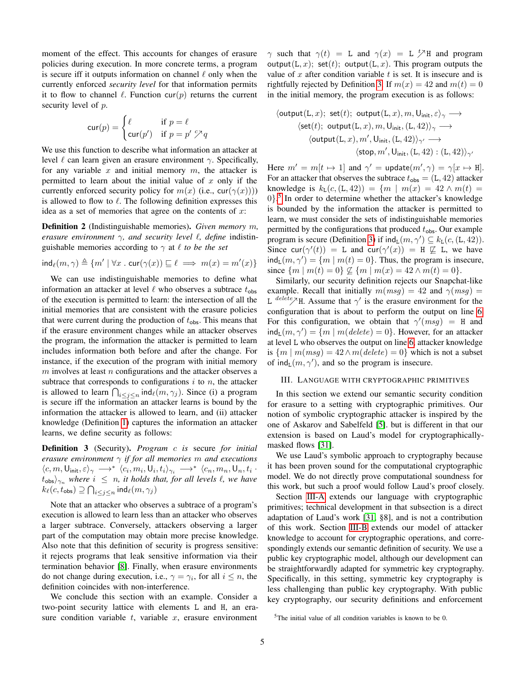moment of the effect. This accounts for changes of erasure policies during execution. In more concrete terms, a program is secure iff it outputs information on channel  $\ell$  only when the currently enforced *security level* for that information permits it to flow to channel  $\ell$ . Function cur(p) returns the current security level of p.

$$
\operatorname{cur}(p) = \begin{cases} \ell & \text{if } p = \ell \\ \operatorname{cur}(p') & \text{if } p = p' \text{ and } p' \end{cases}
$$

We use this function to describe what information an attacker at level  $\ell$  can learn given an erasure environment  $\gamma$ . Specifically, for any variable  $x$  and initial memory  $m$ , the attacker is permitted to learn about the initial value of  $x$  only if the currently enforced security policy for  $m(x)$  (i.e., cur $(\gamma(x))$ )) is allowed to flow to  $\ell$ . The following definition expresses this idea as a set of memories that agree on the contents of  $x$ :

Definition 2 (Indistinguishable memories). *Given memory* m*, erasure environment*  $\gamma$ , and security level  $\ell$ , define indistinguishable memories according to  $\gamma$  at  $\ell$  *to be the set* 

$$
\operatorname{ind}_{\ell}(m,\gamma) \triangleq \{m' \mid \forall x\;.\; \operatorname{cur}(\gamma(x)) \sqsubseteq \ell \implies m(x) = m'(x)\}
$$

We can use indistinguishable memories to define what information an attacker at level  $\ell$  who observes a subtrace  $t_{obs}$ of the execution is permitted to learn: the intersection of all the initial memories that are consistent with the erasure policies that were current during the production of  $t_{\text{obs}}$ . This means that if the erasure environment changes while an attacker observes the program, the information the attacker is permitted to learn includes information both before and after the change. For instance, if the execution of the program with initial memory  $m$  involves at least  $n$  configurations and the attacker observes a subtrace that corresponds to configurations  $i$  to  $n$ , the attacker is allowed to learn  $\bigcap_{i \leq j \leq n} \text{ind}_{\ell}(m, \gamma_j)$ . Since (i) a program is secure iff the information an attacker learns is bound by the information the attacker is allowed to learn, and (ii) attacker knowledge (Definition [1\)](#page-3-1) captures the information an attacker learns, we define security as follows:

<span id="page-4-0"></span>Definition 3 (Security). *Program* c *is* secure *for initial erasure environment* γ *if for all memories* m *and executions*  $\langle c, m, \mathsf{U}_{\mathsf{init}}, \varepsilon \rangle_{\gamma} \longrightarrow^* \langle c_i, m_i, \mathsf{U}_i, t_i \rangle_{\gamma_i} \longrightarrow^* \langle c_n, m_n, \mathsf{U}_n, t_i \rangle$  $(t_{obs})_{\gamma_n}$  *where*  $i \leq n$ *, it holds that, for all levels*  $\ell$ *, we have*  $k_\ell(c, t_{\mathsf{obs}}) \supseteq \bigcap_{i \leq j \leq n} \mathsf{ind}_\ell(m, \gamma_j)$ 

Note that an attacker who observes a subtrace of a program's execution is allowed to learn less than an attacker who observes a larger subtrace. Conversely, attackers observing a larger part of the computation may obtain more precise knowledge. Also note that this definition of security is progress sensitive: it rejects programs that leak sensitive information via their termination behavior [\[8\]](#page-12-8). Finally, when erasure environments do not change during execution, i.e.,  $\gamma = \gamma_i$ , for all  $i \leq n$ , the definition coincides with non-interference.

We conclude this section with an example. Consider a two-point security lattice with elements L and H, an erasure condition variable  $t$ , variable  $x$ , erasure environment

 $\gamma$  such that  $\gamma(t) = L$  and  $\gamma(x) = L^t$  H and program output(L, x); set(t); output(L, x). This program outputs the value of x after condition variable  $t$  is set. It is insecure and is rightfully rejected by Definition [3.](#page-4-0) If  $m(x) = 42$  and  $m(t) = 0$ in the initial memory, the program execution is as follows:

$$
\langle \text{output}(\mathtt{L},x); \, \text{set}(t); \, \text{output}(\mathtt{L},x),m,\mathsf{U}_{\text{init}},\varepsilon\rangle_{\gamma} \longrightarrow \\ \langle \text{set}(t); \, \text{output}(\mathtt{L},x),m,\mathsf{U}_{\text{init}},(\mathtt{L},42)\rangle_{\gamma} \longrightarrow \\ \langle \text{output}(\mathtt{L},x),m',\mathsf{U}_{\text{init}},(\mathtt{L},42)\rangle_{\gamma'} \longrightarrow \\ \langle \text{stop},m',\mathsf{U}_{\text{init}},(\mathtt{L},42):(\mathtt{L},42)\rangle_{\gamma'}
$$

Here  $m' = m[t \mapsto 1]$  and  $\gamma' = \text{update}(m', \gamma) = \gamma[x \mapsto \text{H}].$ For an attacker that observes the subtrace  $t_{obs} = (L, 42)$  attacker knowledge is  $k_L(c, (L, 42)) = \{m \mid m(x) = 42 \land m(t) =$ 0}.<sup>[5](#page-0-0)</sup> In order to determine whether the attacker's knowledge is bounded by the information the attacker is permitted to learn, we must consider the sets of indistinguishable memories permitted by the configurations that produced  $t_{\rm obs}$ . Our example program is secure (Definition [3\)](#page-4-0) if  $\text{ind}_{\text{L}}(m, \gamma') \subseteq k_{\text{L}}(c, (\text{L}, 42)).$ Since cur( $\gamma'(t)$ ) = L and cur( $\gamma'(x)$ ) = H  $\not\sqsubseteq$  L, we have  $\text{ind}_{\text{L}}(m, \gamma') = \{m \mid m(t) = 0\}.$  Thus, the program is insecure, since  $\{m \mid m(t) = 0\} \nsubseteq \{m \mid m(x) = 42 \land m(t) = 0\}.$ 

Similarly, our security definition rejects our Snapchat-like example. Recall that initially  $m(msg) = 42$  and  $\gamma(msg) =$ L  $^{delete}\cancel{\rightarrow}$ H. Assume that  $\gamma'$  is the erasure environment for the configuration that is about to perform the output on line [6.](#page-2-5) For this configuration, we obtain that  $\gamma'(msg) = H$  and  $\text{ind}_{\text{L}}(m, \gamma') = \{m \mid m(\text{delete}) = 0\}.$  However, for an attacker at level L who observes the output on line [6,](#page-2-5) attacker knowledge is  ${m \mid m(msg) = 42 \land m(delete) = 0}$  which is not a subset of  $\text{ind}_{\text{L}}(m, \gamma')$ , and so the program is insecure.

#### <span id="page-4-1"></span>III. LANGUAGE WITH CRYPTOGRAPHIC PRIMITIVES

In this section we extend our semantic security condition for erasure to a setting with cryptographic primitives. Our notion of symbolic cryptographic attacker is inspired by the one of Askarov and Sabelfeld [\[5\]](#page-12-9). but is different in that our extension is based on Laud's model for cryptographicallymasked flows [\[31\]](#page-13-11).

We use Laud's symbolic approach to cryptography because it has been proven sound for the computational cryptographic model. We do not directly prove computational soundness for this work, but such a proof would follow Laud's proof closely.

Section [III-A](#page-5-0) extends our language with cryptographic primitives; technical development in that subsection is a direct adaptation of Laud's work [\[31,](#page-13-11) §8], and is not a contribution of this work. Section [III-B](#page-6-0) extends our model of attacker knowledge to account for cryptographic operations, and correspondingly extends our semantic definition of security. We use a public key cryptographic model, although our development can be straightforwardly adapted for symmetric key cryptography. Specifically, in this setting, symmetric key cryptography is less challenging than public key cryptography. With public key cryptography, our security definitions and enforcement

<sup>5</sup>The initial value of all condition variables is known to be 0.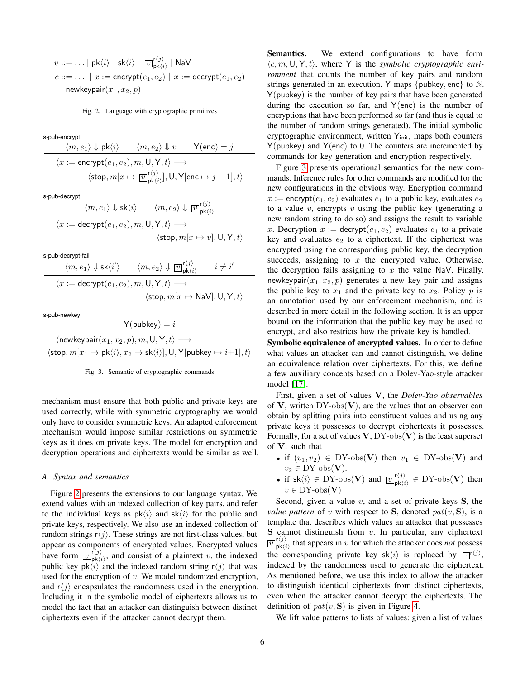$$
v ::= \ldots | \; \mathsf{pk}\langle i \rangle \; | \; \mathsf{sk}\langle i \rangle \; | \; \overline{\text{\texttt{w}}}_{\mathsf{pk}\langle i \rangle}^{\mathsf{r}\langle j \rangle} \; | \; \mathsf{NaV}
$$
\n
$$
c ::= \ldots \; | \; x := \mathsf{encryption}(e_1, e_2) \; | \; x := \mathsf{decrypt}(e_1, e_2)
$$
\n
$$
| \; \mathsf{newkeypair}(x_1, x_2, p)
$$

<span id="page-5-1"></span>Fig. 2. Language with cryptographic primitives

s-pub-encrypt

 $\langle m, e_1 \rangle \Downarrow \mathsf{pk}\langle i \rangle$   $\langle m, e_2 \rangle \Downarrow v$  Y(enc) = j  $\langle x:=$  encrypt $(e_1, e_2), m, U, Y, t \rangle \longrightarrow$  $\langle$ stop,  $m[x \mapsto [v]_{\text{nk}/i}^{\text{r}\langle j \rangle}$  $\binom{\mathsf{r}(j)}{\mathsf{pk}(i)}$ ],  $\mathsf{U},\mathsf{Y}$ [enc  $\mapsto j+1]$ ,  $t\rangle$ 

 $r \rightarrow$ 

s-pub-decrypt

$$
\langle m, e_1 \rangle \Downarrow \mathsf{sk}\langle i \rangle \qquad \langle m, e_2 \rangle \Downarrow \boxed{v}^{\mathsf{r}(j)}_{\mathsf{pk}\langle i \rangle}
$$

$$
\langle x := \mathsf{decrypt}(e_1, e_2), m, \mathsf{U}, \mathsf{Y}, t \rangle \longrightarrow \langle \mathsf{stop}, m[x \mapsto v], \mathsf{U}, \mathsf{Y}, t \rangle
$$

s-pub-decrypt-fail

$$
\langle m, e_1 \rangle \Downarrow \mathsf{sk}\langle i' \rangle \qquad \langle m, e_2 \rangle \Downarrow \boxed{v}^{\mathsf{r}\langle j \rangle}_{\mathsf{pk}\langle i \rangle} \qquad i \neq i'
$$
\n
$$
\langle x := \mathsf{decrypt}(e_1, e_2), m, \mathsf{U}, \mathsf{Y}, t \rangle \longrightarrow
$$
\n
$$
\langle \mathsf{stop}, m[x \mapsto \mathsf{NaV}], \mathsf{U}, \mathsf{Y}, t \rangle
$$

s-pub-newkey

 $\langle$ newkeypair $(x_1, x_2, p), m, U, Y, t \rangle \longrightarrow$  $\langle$ stop,  $m[x_1 \mapsto \mathsf{pk}\langle i \rangle, x_2 \mapsto \mathsf{sk}\langle i \rangle], \mathsf{U}, \mathsf{Y}[\mathsf{pubkey} \mapsto i+1], t \rangle$ 

 $Y(pubkey) = i$ 

<span id="page-5-2"></span>Fig. 3. Semantic of cryptographic commands

mechanism must ensure that both public and private keys are used correctly, while with symmetric cryptography we would only have to consider symmetric keys. An adapted enforcement mechanism would impose similar restrictions on symmetric keys as it does on private keys. The model for encryption and decryption operations and ciphertexts would be similar as well.

#### <span id="page-5-0"></span>*A. Syntax and semantics*

Figure [2](#page-5-1) presents the extensions to our language syntax. We extend values with an indexed collection of key pairs, and refer to the individual keys as  $pk\langle i \rangle$  and  $sk\langle i \rangle$  for the public and private keys, respectively. We also use an indexed collection of random strings  $r\langle j \rangle$ . These strings are not first-class values, but appear as components of encrypted values. Encrypted values have form  $\overline{v}$   $\overline{v}_{nk}^{r(j)}$  $p_{\mathsf{pk}\langle i \rangle}^{\mathsf{r}\langle j \rangle}$ , and consist of a plaintext v, the indexed public key pk $\langle i \rangle$  and the indexed random string r $\langle j \rangle$  that was used for the encryption of  $v$ . We model randomized encryption, and  $r\langle j \rangle$  encapsulates the randomness used in the encryption. Including it in the symbolic model of ciphertexts allows us to model the fact that an attacker can distinguish between distinct ciphertexts even if the attacker cannot decrypt them.

Semantics. We extend configurations to have form  $\langle c, m, U, Y, t \rangle$ , where Y is the *symbolic cryptographic environment* that counts the number of key pairs and random strings generated in an execution. Y maps {pubkey, enc} to N. Y(pubkey) is the number of key pairs that have been generated during the execution so far, and  $Y(enc)$  is the number of encryptions that have been performed so far (and thus is equal to the number of random strings generated). The initial symbolic cryptographic environment, written Y<sub>init</sub>, maps both counters Y(pubkey) and Y(enc) to 0. The counters are incremented by commands for key generation and encryption respectively.

Figure [3](#page-5-2) presents operational semantics for the new commands. Inference rules for other commands are modified for the new configurations in the obvious way. Encryption command  $x :=$  encrypt $(e_1, e_2)$  evaluates  $e_1$  to a public key, evaluates  $e_2$ to a value  $v$ , encrypts  $v$  using the public key (generating a new random string to do so) and assigns the result to variable x. Decryption  $x := \text{decrypt}(e_1, e_2)$  evaluates  $e_1$  to a private key and evaluates  $e_2$  to a ciphertext. If the ciphertext was encrypted using the corresponding public key, the decryption succeeds, assigning to  $x$  the encrypted value. Otherwise, the decryption fails assigning to  $x$  the value NaV. Finally, newkeypair $(x_1, x_2, p)$  generates a new key pair and assigns the public key to  $x_1$  and the private key to  $x_2$ . Policy p is an annotation used by our enforcement mechanism, and is described in more detail in the following section. It is an upper bound on the information that the public key may be used to encrypt, and also restricts how the private key is handled.

Symbolic equivalence of encrypted values. In order to define what values an attacker can and cannot distinguish, we define an equivalence relation over ciphertexts. For this, we define a few auxiliary concepts based on a Dolev-Yao-style attacker model [\[17\]](#page-12-10).

First, given a set of values V, the *Dolev-Yao observables* of V, written  $DY-obs(V)$ , are the values that an observer can obtain by splitting pairs into constituent values and using any private keys it possesses to decrypt ciphertexts it possesses. Formally, for a set of values  $V$ ,  $DY$ -obs $(V)$  is the least superset of V, such that

- if  $(v_1, v_2) \in DY\text{-}obs(V)$  then  $v_1 \in DY\text{-}obs(V)$  and  $v_2 \in \text{DY-obs}(\mathbf{V}).$
- if sk $\langle i \rangle \in DY$ -obs $(V)$  and  $\boxed{v}_{nk}^{r\langle j \rangle}$  $p_{\mathsf{pk}\langle i \rangle}^{\mathsf{r}\langle \mathcal{Y} \rangle} \in \mathrm{DY-obs}(\mathbf{V})$  then  $v \in DY\text{-}obs(\mathbf{V})$

Second, given a value  $v$ , and a set of private keys  $S$ , the *value pattern* of v with respect to **S**, denoted  $pat(v, S)$ , is a template that describes which values an attacker that possesses  $S$  cannot distinguish from  $v$ . In particular, any ciphertext  $\overline{v}$ r $\langle j \rangle$ nk $\langle j \rangle$  $P_{\mathsf{pk}\langle i\rangle}^{(\gamma)}$  that appears in v for which the attacker does *not* possess the corresponding private key sk $\langle i \rangle$  is replaced by  $\Box^{r\langle j \rangle}$ , indexed by the randomness used to generate the ciphertext. As mentioned before, we use this index to allow the attacker to distinguish identical ciphertexts from distinct ciphertexts, even when the attacker cannot decrypt the ciphertexts. The definition of  $pat(v, S)$  is given in Figure [4.](#page-6-1)

We lift value patterns to lists of values: given a list of values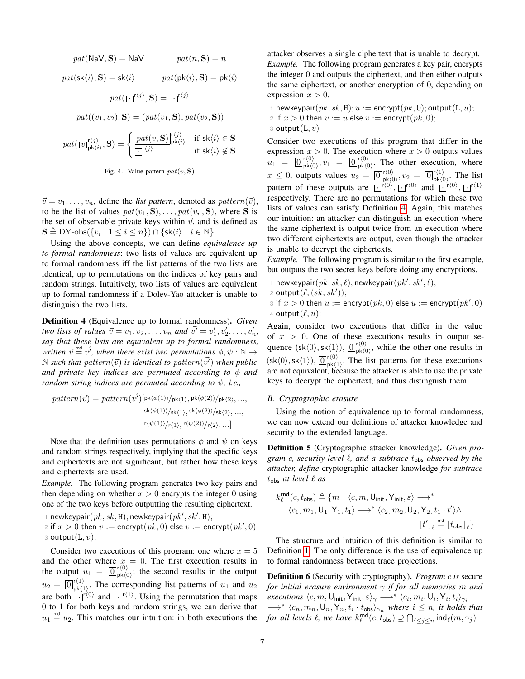$$
pat(\text{NaV}, \mathbf{S}) = \text{NaV} \qquad pat(n, \mathbf{S}) = n
$$
\n
$$
pat(\text{sk}\langle i \rangle, \mathbf{S}) = \text{sk}\langle i \rangle \qquad pat(\text{pk}\langle i \rangle, \mathbf{S}) = \text{pk}\langle i \rangle
$$
\n
$$
pat([\Box^{\mathbf{r}}\langle j \rangle, \mathbf{S}) = [\Box^{\mathbf{r}}\langle j \rangle]
$$
\n
$$
pat((v_1, v_2), \mathbf{S}) = (pat(v_1, \mathbf{S}), pat(v_2, \mathbf{S}))
$$
\n
$$
pat([\Box^{\mathbf{r}}\langle j \rangle, \mathbf{S}) = \begin{cases} \frac{pat(v, \mathbf{S})^{\mathbf{r}}\langle j \rangle}{\Box^{\mathbf{r}}\langle j \rangle} & \text{if } \mathbf{sk}\langle i \rangle \in \mathbf{S} \\ \frac{cd(v, \mathbf{S})^{\mathbf{r}}\langle j \rangle}{\Box^{\mathbf{r}}\langle j \rangle} & \text{if } \mathbf{sk}\langle i \rangle \notin \mathbf{S} \end{cases}
$$
\nFig. 4. Value pattern  $pat(v, \mathbf{S})$ 

<span id="page-6-1"></span> $\vec{v} = v_1, \dots, v_n$ , define the *list pattern*, denoted as *pattern*( $\vec{v}$ ), to be the list of values  $pat(v_1, S), \ldots, pat(v_n, S)$ , where S is the set of observable private keys within  $\vec{v}$ , and is defined as  $\mathbf{S} \triangleq \text{DY-obs}(\{v_i \mid 1 \leq i \leq n\}) \cap \{\textsf{sk}\langle i \rangle \mid i \in \mathbb{N}\}.$ 

Using the above concepts, we can define *equivalence up to formal randomness*: two lists of values are equivalent up to formal randomness iff the list patterns of the two lists are identical, up to permutations on the indices of key pairs and random strings. Intuitively, two lists of values are equivalent up to formal randomness if a Dolev-Yao attacker is unable to distinguish the two lists.

<span id="page-6-2"></span>Definition 4 (Equivalence up to formal randomness). *Given two lists of values*  $\vec{v} = v_1, v_2, \dots, v_n$  *and*  $\vec{v'} = v'_1, v'_2, \dots, v'_n$ , *say that these lists are equivalent up to formal randomness,* written  $\vec{v} \stackrel{\text{ind}}{=} \vec{v'}$ , when there exist two permutations  $\phi, \psi : \mathbb{N} \to$  $\mathbb N$  *such that pattern* $(\vec{v})$  *is identical to pattern* $(\vec{v'})$  *when public and private key indices are permuted according to* φ *and random string indices are permuted according to* ψ*, i.e.,*

$$
pattern(\vec{v}) = pattern(\vec{v'})[{\bf p}{\bf k}\langle\phi(1)\rangle/{\bf p}{\bf k}\langle1\rangle,{\bf p}{\bf k}\langle\phi(2)\rangle/{\bf p}{\bf k}\langle2\rangle,...,\\ {\bf s}{\bf k}\langle\phi(1)\rangle/{\bf s}{\bf k}\langle1\rangle,{\bf s}{\bf k}\langle\phi(2)\rangle/{\bf s}{\bf k}\langle2\rangle,...,\\ {\bf r}\langle\psi(1)\rangle/{\bf r}\langle1\rangle,{\bf r}\langle\psi(2)\rangle/{\bf r}\langle2\rangle,...]
$$

Note that the definition uses permutations  $\phi$  and  $\psi$  on keys and random strings respectively, implying that the specific keys and ciphertexts are not significant, but rather how these keys and ciphertexts are used.

*Example.* The following program generates two key pairs and then depending on whether  $x > 0$  encrypts the integer 0 using one of the two keys before outputting the resulting ciphertext.

1 newkeypair $(pk, sk, H)$ ; newkeypair $(\text{pk}', \text{sk}', H)$ ; 2 if  $x > 0$  then  $v :=$  encrypt $(pk, 0)$  else  $v :=$  encrypt $(pk', 0)$ 3 output  $(L, v)$ ;

Consider two executions of this program: one where  $x = 5$ and the other where  $x = 0$ . The first execution results in the output  $u_1 = \left[\begin{array}{cc} 0 \\ 0 \end{array}\right]_{nk}^{r(0)}$  $p_{\mathsf{pk}(0)}^{\mathsf{r}(0)}$ ; the second results in the output  $u_2 = \left[\begin{array}{c}\n\prod_{\text{pk}\{1\}}^{\text{r}\langle 1\rangle}\n\end{array}\right]$  $p_{\mathsf{pk}}^{(1)}$ . The corresponding list patterns of  $u_1$  and  $u_2$ are both  $\Box^{r(0)}$  and  $\Box^{r(1)}$ . Using the permutation that maps 0 to 1 for both keys and random strings, we can derive that  $u_1 \stackrel{\text{md}}{=} u_2$ . This matches our intuition: in both executions the attacker observes a single ciphertext that is unable to decrypt. *Example.* The following program generates a key pair, encrypts the integer 0 and outputs the ciphertext, and then either outputs the same ciphertext, or another encryption of 0, depending on expression  $x > 0$ .

$$
\begin{array}{l} \texttt{1 newkeypair}(pk, sk, H); u := \texttt{encrypt}(pk, 0); \texttt{output}(L, u); \\ \texttt{2 if } x > 0 \text{ then } v := u \text{ else } v := \texttt{encrypt}(pk, 0); \\ \texttt{3 output}(L, v) \end{array}
$$

Consider two executions of this program that differ in the expression  $x > 0$ . The execution where  $x > 0$  outputs values  $u_1 = \left[\begin{array}{cc} 0 \\ \text{pk}(0) \end{array}\right]$  $\begin{array}{rcl} \mathsf{r}\langle 0\rangle \ \mathsf{pk}\langle 0\rangle, v_1 \end{array} = \begin{array}{ccl} \boxed{0} \mathsf{r}\langle 0\rangle \ \mathsf{pk}\langle 0\rangle \end{array}$  $p_{\mathsf{pk}\langle 0 \rangle}^{\mathsf{r}\langle 0 \rangle}$ . The other execution, where  $x \leq 0$ , outputs values  $u_2 = \left[\begin{array}{c} 0 \\ 0 \end{array}\right]_{nk}^{r(0)}$  $\vert {\rm p k} \rangle_{\rm pk \langle 0 \rangle}, v_2 \, = \, {\textstyle \bigoplus_{\rm pk \langle 0 \rangle}^{\rm r \langle 1 \rangle}}$  $_{\text{pk}\langle 0 \rangle}^{\text{r}_{\langle 1 \rangle}}$ . The list pattern of these outputs are  $\Box^{r(0)}, \Box^{r(0)}$  and  $\Box^{r(0)}, \Box^{r(1)}$ respectively. There are no permutations for which these two lists of values can satisfy Definition [4.](#page-6-2) Again, this matches our intuition: an attacker can distinguish an execution where the same ciphertext is output twice from an execution where two different ciphertexts are output, even though the attacker is unable to decrypt the ciphertexts.

*Example.* The following program is similar to the first example, but outputs the two secret keys before doing any encryptions.

- 1 newkeypair $(pk, sk, \ell)$ ; newkeypair $(pk', sk', \ell)$ ;
- 2 output $(\ell,(sk, sk'));$
- 3 if  $x > 0$  then  $u := \text{encrypt}(pk, 0)$  else  $u := \text{encrypt}(pk', 0)$ 4 output $(\ell, u)$ ;

Again, consider two executions that differ in the value of  $x > 0$ . One of these executions results in output sequence  $(\mathsf{sk}\langle 0 \rangle, \mathsf{sk}\langle 1 \rangle), \overline{\left(0\right)}_{\mathsf{nk}\langle 0 \rangle}^{\mathsf{r}\langle 0 \rangle}$  $p_{\mathsf{pk}\langle 0 \rangle}^{(\mathsf{U})}$ , while the other one results in  $(\mathsf{sk}\langle 0\rangle,\mathsf{sk}\langle 1\rangle), \overline{0\vert}_{\mathsf{nk}/1}^{\mathsf{r}\langle 0\rangle}$  $p_{\mathsf{pk}\langle 1 \rangle}^{\mathsf{r}\langle 0 \rangle}$ . The list patterns for these executions are not equivalent, because the attacker is able to use the private keys to decrypt the ciphertext, and thus distinguish them.

#### <span id="page-6-0"></span>*B. Cryptographic erasure*

Using the notion of equivalence up to formal randomness, we can now extend our definitions of attacker knowledge and security to the extended language.

Definition 5 (Cryptographic attacker knowledge). *Given program c, security level*  $\ell$ *, and a subtrace*  $t_{obs}$  *observed by the attacker, define* cryptographic attacker knowledge *for subtrace*  $t_{\rm obs}$  *at level*  $\ell$  *as* 

$$
\begin{aligned} k_{\ell}^{\text{rnd}}(c, t_{\text{obs}}) &\triangleq \{ m \ | \ \langle c, m, \mathsf{U}_{\text{init}}, \mathsf{Y}_{\text{init}}, \varepsilon \rangle \longrightarrow^* \\ & \langle c_1, m_1, \mathsf{U}_1, \mathsf{Y}_1, t_1 \rangle \longrightarrow^* \langle c_2, m_2, \mathsf{U}_2, \mathsf{Y}_2, t_1 \cdot t' \rangle \wedge \\ &\qquad \qquad \qquad \ \ \, \big\downarrow t' \rfloor_{\ell} \stackrel{\text{md}}{=} \lfloor t_{\text{obs}} \rfloor_{\ell} \} \end{aligned}
$$

The structure and intuition of this definition is similar to Definition [1.](#page-3-1) The only difference is the use of equivalence up to formal randomness between trace projections.

<span id="page-6-3"></span>Definition 6 (Security with cryptography). *Program* c *is* secure *for initial erasure environment* γ *if for all memories* m *and executions*  $\langle c, m, \mathsf{U}_{\mathsf{init}}, \mathsf{Y}_{\mathsf{init}}, \varepsilon \rangle_{\gamma} \longrightarrow^* \langle c_i, m_i, \mathsf{U}_i, \mathsf{Y}_i, t_i \rangle_{\gamma_i}$  $\longrightarrow^* \langle c_n, m_n, \mathsf{U}_n, \mathsf{Y}_n, t_i \cdot t_{\text{obs}} \rangle_{\gamma_n}$  where  $i \leq n$ , it holds that for all levels  $\ell$ , we have  $k_{\ell}^{\mathsf{rnd}}(c, t_{\mathsf{obs}}) \supseteq \bigcap_{i \leq j \leq n} \mathsf{ind}_{\ell}(m, \gamma_j)$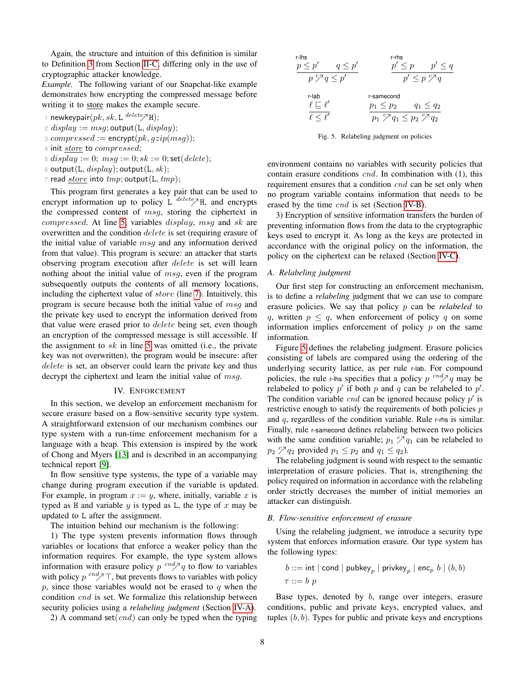Again, the structure and intuition of this definition is similar to Definition [3](#page-4-0) from Section [II-C,](#page-3-2) differing only in the use of cryptographic attacker knowledge.

*Example.* The following variant of our Snapchat-like example demonstrates how encrypting the compressed message before writing it to store makes the example secure.

1 newkeypair $(pk, sk, L$ <sup>delete</sup> $\geq$ H);

- 2  $display := msg; output(L, display);$
- 3 *compressed* :=  $\mathsf{encrypt}(pk, qzip(msg));$
- <sup>4</sup> init store to compressed;
- <span id="page-7-1"></span>5  $display := 0; msg := 0; sk := 0; set(delete);$
- 6 output(L,  $display$ ); output(L,  $sk$ );
- <span id="page-7-2"></span>7 read  $store$  into  $tmp;output(L,tmp);$

This program first generates a key pair that can be used to encrypt information up to policy L  $^{delete}$ , H, and encrypts the compressed content of msg, storing the ciphertext in compressed. At line [5,](#page-7-1) variables display, msg and sk are overwritten and the condition *delete* is set (requiring erasure of the initial value of variable  $msq$  and any information derived from that value). This program is secure: an attacker that starts observing program execution after *delete* is set will learn nothing about the initial value of  $msq$ , even if the program subsequently outputs the contents of all memory locations, including the ciphertext value of store (line [7\)](#page-7-2). Intuitively, this program is secure because both the initial value of msg and the private key used to encrypt the information derived from that value were erased prior to *delete* being set, even though an encryption of the compressed message is still accessible. If the assignment to  $sk$  in line [5](#page-7-1) was omitted (i.e., the private key was not overwritten), the program would be insecure: after delete is set, an observer could learn the private key and thus decrypt the ciphertext and learn the initial value of  $msg$ .

## IV. ENFORCEMENT

<span id="page-7-0"></span>In this section, we develop an enforcement mechanism for secure erasure based on a flow-sensitive security type system. A straightforward extension of our mechanism combines our type system with a run-time enforcement mechanism for a language with a heap. This extension is inspired by the work of Chong and Myers [\[13\]](#page-12-4) and is described in an accompanying technical report [\[9\]](#page-12-11).

In flow sensitive type systems, the type of a variable may change during program execution if the variable is updated. For example, in program  $x := y$ , where, initially, variable x is typed as H and variable  $y$  is typed as L, the type of  $x$  may be updated to L after the assignment.

The intuition behind our mechanism is the following:

1) The type system prevents information flows through variables or locations that enforce a weaker policy than the information requires. For example, the type system allows information with erasure policy  $p^{end}$  a to flow to variables with policy  $p^{end} \nearrow \top$ , but prevents flows to variables with policy  $p$ , since those variables would not be erased to  $q$  when the condition cnd is set. We formalize this relationship between security policies using a *relabeling judgment* (Section [IV-A\)](#page-7-3).

2) A command set(cnd) can only be typed when the typing

| r-lhs                           | r-rhs                                          |
|---------------------------------|------------------------------------------------|
| $p \leq p'$<br>$q \leq p'$      | $p' \leq p$<br>$p' \leq q$                     |
| $p \nsubseteq q \leq p'$        | $p' \leq p \nless q$                           |
| r-lab<br>$\ell \sqsubset \ell'$ | r-samecond<br>$p_1 \leq p_2$<br>$q_1 \leq q_2$ |
| $\ell < \ell'$                  | $p_1 \nsubseteq q_1 \leq p_2 \nsubseteq q_2$   |

<span id="page-7-5"></span>Fig. 5. Relabeling judgment on policies

environment contains no variables with security policies that contain erasure conditions cnd. In combination with (1), this requirement ensures that a condition *cnd* can be set only when no program variable contains information that needs to be erased by the time *cnd* is set (Section [IV-B\)](#page-7-4).

3) Encryption of sensitive information transfers the burden of preventing information flows from the data to the cryptographic keys used to encrypt it. As long as the keys are protected in accordance with the original policy on the information, the policy on the ciphertext can be relaxed (Section [IV-C\)](#page-9-0).

#### <span id="page-7-3"></span>*A. Relabeling judgment*

Our first step for constructing an enforcement mechanism, is to define a *relabeling* judgment that we can use to compare erasure policies. We say that policy p can be *relabeled* to q, written  $p \leq q$ , when enforcement of policy q on some information implies enforcement of policy  $p$  on the same information.

Figure [5](#page-7-5) defines the relabeling judgment. Erasure policies consisting of labels are compared using the ordering of the underlying security lattice, as per rule r-lab. For compound policies, the rule r-lhs specifies that a policy  $p^{cnd}$  q may be relabeled to policy  $p'$  if both  $p$  and  $q$  can be relabeled to  $p'$ . The condition variable *cnd* can be ignored because policy  $p'$  is restrictive enough to satisfy the requirements of both policies  $p$ and q, regardless of the condition variable. Rule r-rhs is similar. Finally, rule r-samecond defines relabeling between two policies with the same condition variable;  $p_1 \nless q_1$  can be relabeled to  $p_2 \nless q_2$  provided  $p_1 \leq p_2$  and  $q_1 \leq q_2$ ).

The relabeling judgment is sound with respect to the semantic interpretation of erasure policies. That is, strengthening the policy required on information in accordance with the relabeling order strictly decreases the number of initial memories an attacker can distinguish.

## <span id="page-7-4"></span>*B. Flow-sensitive enforcement of erasure*

Using the relabeling judgment, we introduce a security type system that enforces information erasure. Our type system has the following types:

$$
\begin{aligned} b ::= \mathsf{int} \mid \mathsf{cond} \mid \mathsf{pubkey}_p \mid \mathsf{privkey}_p \mid \mathsf{enc}_p \,\, b \mid (b, b) \\ \tau ::= b \,\, p \end{aligned}
$$

Base types, denoted by b, range over integers, erasure conditions, public and private keys, encrypted values, and tuples  $(b, b)$ . Types for public and private keys and encryptions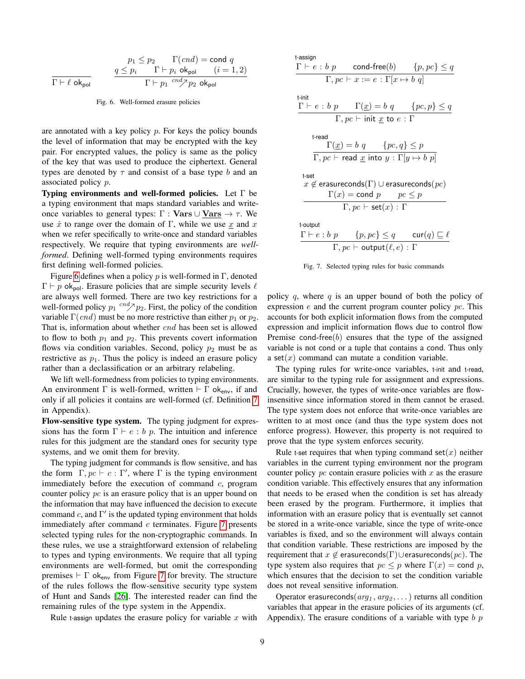$$
\dfrac{p_1 \leq p_2 \qquad \Gamma(cnd) = \text{cond } q}{\Gamma \vdash \ell \text{ ok}_{\text{pol}} \qquad \qquad \dfrac{q \leq p_i \qquad \Gamma \vdash p_i \text{ ok}_{\text{pol}} \qquad (i=1,2)}{\Gamma \vdash p_1 \stackrel{cnd \nearrow p_2}{\longrightarrow} \text{ok}_{\text{pol}}}
$$

<span id="page-8-0"></span>Fig. 6. Well-formed erasure policies

are annotated with a key policy  $p$ . For keys the policy bounds the level of information that may be encrypted with the key pair. For encrypted values, the policy is same as the policy of the key that was used to produce the ciphertext. General types are denoted by  $\tau$  and consist of a base type b and an associated policy p.

Typing environments and well-formed policies. Let  $\Gamma$  be a typing environment that maps standard variables and writeonce variables to general types: Γ : Vars ∪ Vars  $\rightarrow \tau$ . We use  $\dot{x}$  to range over the domain of Γ, while we use  $\underline{x}$  and  $x$ when we refer specifically to write-once and standard variables respectively. We require that typing environments are *wellformed*. Defining well-formed typing environments requires first defining well-formed policies.

Figure [6](#page-8-0) defines when a policy  $p$  is well-formed in Γ, denoted  $\Gamma \vdash p$  ok<sub>pol</sub>. Erasure policies that are simple security levels  $\ell$ are always well formed. There are two key restrictions for a well-formed policy  $p_1 \text{ }^{cnd} \nearrow p_2$ . First, the policy of the condition variable  $\Gamma(cnd)$  must be no more restrictive than either  $p_1$  or  $p_2$ . That is, information about whether *cnd* has been set is allowed to flow to both  $p_1$  and  $p_2$ . This prevents covert information flows via condition variables. Second, policy  $p_2$  must be as restrictive as  $p_1$ . Thus the policy is indeed an erasure policy rather than a declassification or an arbitrary relabeling.

We lift well-formedness from policies to typing environments. An environment  $\Gamma$  is well-formed, written  $\vdash \Gamma$  ok<sub>env</sub>, if and only if all policies it contains are well-formed (cf. Definition [7](#page-14-0) in Appendix).

Flow-sensitive type system. The typing judgment for expressions has the form  $\Gamma \vdash e : b \, p$ . The intuition and inference rules for this judgment are the standard ones for security type systems, and we omit them for brevity.

The typing judgment for commands is flow sensitive, and has the form  $\Gamma, pc \vdash c : \Gamma'$ , where  $\Gamma$  is the typing environment immediately before the execution of command  $c$ , program counter policy  $pc$  is an erasure policy that is an upper bound on the information that may have influenced the decision to execute command  $c$ , and  $\Gamma'$  is the updated typing environment that holds immediately after command  $c$  terminates. Figure  $7$  presents selected typing rules for the non-cryptographic commands. In these rules, we use a straightforward extension of relabeling to types and typing environments. We require that all typing environments are well-formed, but omit the corresponding premises  $\vdash \Gamma$  ok<sub>env</sub> from Figure [7](#page-8-1) for brevity. The structure of the rules follows the flow-sensitive security type system of Hunt and Sands [\[26\]](#page-13-12). The interested reader can find the remaining rules of the type system in the Appendix.

Rule t-assign updates the erasure policy for variable  $x$  with

| t-assign                                                                      |  |
|-------------------------------------------------------------------------------|--|
| $\Gamma \vdash e : b \ p$ cond-free(b) $\{p, pc\} \leq q$                     |  |
| $\Gamma, pc \vdash x := e : \Gamma[x \mapsto b]$                              |  |
| t-init                                                                        |  |
| $\Gamma \vdash e : b \ p$ $\Gamma(\underline{x}) = b \ q$ $\{pc, p\} \leq q$  |  |
| $\Gamma, pc \vdash \mathsf{init} \underline{x}$ to $e : \Gamma$               |  |
| t-read                                                                        |  |
| $\Gamma(\underline{x}) = b \ q \qquad \{pc, q\} \leq p$                       |  |
| $\Gamma, pc \vdash$ read $\underline{x}$ into $y : \Gamma[y \mapsto b]$       |  |
| t-set                                                                         |  |
| $x \notin$ erasureconds $(\Gamma) \cup$ erasureconds $(pc)$                   |  |
| $\Gamma(x) = \text{cond } p$ $pc \leq p$                                      |  |
| $\Gamma, pc \vdash \mathsf{set}(x) : \Gamma$                                  |  |
| t-output                                                                      |  |
| $\Gamma \vdash e : b \ p$ $\{p, pc\} \leq q$ $\text{cur}(q) \sqsubseteq \ell$ |  |
| $\Gamma, pc \vdash$ output $(\ell, e) : \Gamma$                               |  |
|                                                                               |  |

<span id="page-8-1"></span>Fig. 7. Selected typing rules for basic commands

policy q, where q is an upper bound of both the policy of expression  $e$  and the current program counter policy  $pc$ . This accounts for both explicit information flows from the computed expression and implicit information flows due to control flow Premise cond-free $(b)$  ensures that the type of the assigned variable is not cond or a tuple that contains a cond. Thus only a set $(x)$  command can mutate a condition variable.

The typing rules for write-once variables, t-init and t-read, are similar to the typing rule for assignment and expressions. Crucially, however, the types of write-once variables are flowinsensitive since information stored in them cannot be erased. The type system does not enforce that write-once variables are written to at most once (and thus the type system does not enforce progress). However, this property is not required to prove that the type system enforces security.

Rule t-set requires that when typing command set(x) neither variables in the current typing environment nor the program counter policy  $pc$  contain erasure policies with  $x$  as the erasure condition variable. This effectively ensures that any information that needs to be erased when the condition is set has already been erased by the program. Furthermore, it implies that information with an erasure policy that is eventually set cannot be stored in a write-once variable, since the type of write-once variables is fixed, and so the environment will always contain that condition variable. These restrictions are imposed by the requirement that  $x \notin$  erasureconds( $\Gamma$ )∪erasureconds( $\mathit{pc}$ ). The type system also requires that  $pc \leq p$  where  $\Gamma(x) =$ cond p, which ensures that the decision to set the condition variable does not reveal sensitive information.

Operator erasureconds( $arg_1, arg_2, \ldots$ ) returns all condition variables that appear in the erasure policies of its arguments (cf. Appendix). The erasure conditions of a variable with type  $b$   $p$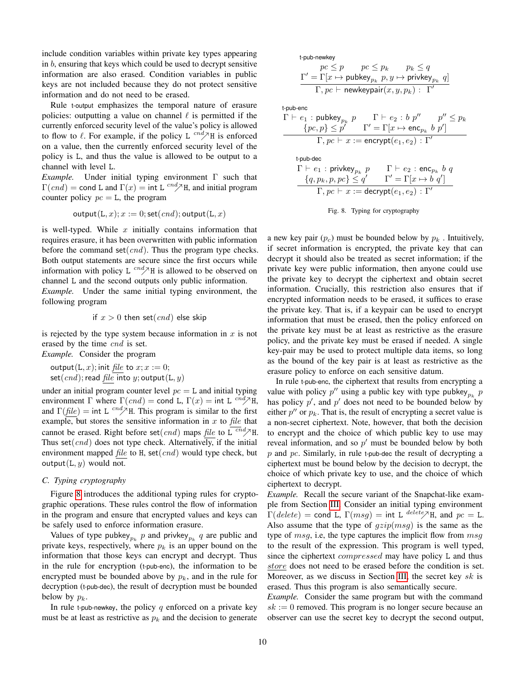include condition variables within private key types appearing in b, ensuring that keys which could be used to decrypt sensitive information are also erased. Condition variables in public keys are not included because they do not protect sensitive information and do not need to be erased.

Rule t-output emphasizes the temporal nature of erasure policies: outputting a value on channel  $\ell$  is permitted if the currently enforced security level of the value's policy is allowed to flow to  $\ell$ . For example, if the policy L  $\text{cm}^d/\text{H}$  is enforced on a value, then the currently enforced security level of the policy is L, and thus the value is allowed to be output to a channel with level L.

*Example.* Under initial typing environment Γ such that  $\Gamma(cnd) = \text{cond } L$  and  $\Gamma(x) = \text{int } L \frac{cnd}{\lambda} H$ , and initial program counter policy  $pc = L$ , the program

$$
\mathsf{output}(\mathtt{L},x); x := 0; \mathsf{set}(\mathit{cnd}); \mathsf{output}(\mathtt{L},x)
$$

is well-typed. While  $x$  initially contains information that requires erasure, it has been overwritten with public information before the command set(cnd). Thus the program type checks. Both output statements are secure since the first occurs while information with policy L  $\epsilon^{nd}$  H is allowed to be observed on channel L and the second outputs only public information. *Example.* Under the same initial typing environment, the following program

if 
$$
x > 0
$$
 then set(*cnd*) else skip

is rejected by the type system because information in  $x$  is not erased by the time cnd is set.

*Example.* Consider the program

output(L, x); init file to  $x; x := 0$ ;  $set(cnd)$ ; read *file* into y; output(L, y)

under an initial program counter level  $pc = L$  and initial typing environment  $\Gamma$  where  $\Gamma(cnd) = \text{cond } L$ ,  $\Gamma(x) = \text{int } L^{cnd} \rightarrow H$ , and  $\Gamma$ (file) = int L <sup>cnd</sup>/H. This program is similar to the first example, but stores the sensitive information in  $x$  to file that cannot be erased. Right before set(cnd) maps file to  $\overline{L^{cnd}}$ <sup>H</sup>. Thus set(cnd) does not type check. Alternatively, if the initial environment mapped file to H, set(cnd) would type check, but output(L,  $y$ ) would not.

## <span id="page-9-0"></span>*C. Typing cryptography*

Figure [8](#page-9-1) introduces the additional typing rules for cryptographic operations. These rules control the flow of information in the program and ensure that encrypted values and keys can be safely used to enforce information erasure.

Values of type pubkey<sub>pk</sub> p and privkey<sub>pk</sub> q are public and private keys, respectively, where  $p_k$  is an upper bound on the information that those keys can encrypt and decrypt. Thus in the rule for encryption (t-pub-enc), the information to be encrypted must be bounded above by  $p_k$ , and in the rule for decryption (t-pub-dec), the result of decryption must be bounded below by  $p_k$ .

In rule t-pub-newkey, the policy  $q$  enforced on a private key must be at least as restrictive as  $p_k$  and the decision to generate

t-pub-newkey

$$
\frac{pc \leq p}{\Gamma} \xrightarrow{pc \leq p_k} \frac{p_k \leq q}{\Gamma[x \mapsto \text{pubkey}_{p_k} \ p, y \mapsto \text{privkey}_{p_k} \ q]}
$$

$$
\Gamma, pc \vdash \text{newkeypair}(x, y, p_k) : \Gamma'
$$

t-pub-enc

$$
\cfrac{\Gamma\vdash e_1:\mathsf{pubkey}_{p_k}\ p\qquad \Gamma\vdash e_2:b\ p''\qquad p''\leq p_k}{\{pc,p\}\leq p'}\ \cfrac{\Gamma\vdash e_2:b\ p''\qquad \Gamma'\leq p_k\ b\ p']}{\Gamma,\, pc\vdash x:=\mathsf{encrypt}(e_1,e_2):\Gamma'}
$$

$$
\cfrac{\text{t-pub-dec}}{\Gamma \vdash e_1 : \text{privkey}_{p_k} \ p \qquad \Gamma \vdash e_2 : \text{enc}_{p_k} \ b \ q}{\{q, p_k, p, pc\} \leq q' \qquad \Gamma' = \Gamma[x \mapsto b \ q']}{\Gamma, pc \vdash x := \text{decrypt}(e_1, e_2) : \Gamma'}
$$

<span id="page-9-1"></span>Fig. 8. Typing for cryptography

a new key pair  $(p_c)$  must be bounded below by  $p_k$ . Intuitively, if secret information is encrypted, the private key that can decrypt it should also be treated as secret information; if the private key were public information, then anyone could use the private key to decrypt the ciphertext and obtain secret information. Crucially, this restriction also ensures that if encrypted information needs to be erased, it suffices to erase the private key. That is, if a keypair can be used to encrypt information that must be erased, then the policy enforced on the private key must be at least as restrictive as the erasure policy, and the private key must be erased if needed. A single key-pair may be used to protect multiple data items, so long as the bound of the key pair is at least as restrictive as the erasure policy to enforce on each sensitive datum.

In rule t-pub-enc, the ciphertext that results from encrypting a value with policy  $p''$  using a public key with type pubkey<sub>pk</sub> p has policy  $p'$ , and  $p'$  does not need to be bounded below by either  $p''$  or  $p_k$ . That is, the result of encrypting a secret value is a non-secret ciphertext. Note, however, that both the decision to encrypt and the choice of which public key to use may reveal information, and so  $p'$  must be bounded below by both  $p$  and  $pc$ . Similarly, in rule t-pub-dec the result of decrypting a ciphertext must be bound below by the decision to decrypt, the choice of which private key to use, and the choice of which ciphertext to decrypt.

*Example.* Recall the secure variant of the Snapchat-like example from Section [III.](#page-4-1) Consider an initial typing environment  $\Gamma(delete) = \text{cond L}, \Gamma(msg) = \text{int L}^{delete} \gamma H, \text{ and } pc = L.$ Also assume that the type of  $gzip(msg)$  is the same as the type of  $msg$ , i.e, the type captures the implicit flow from  $msg$ to the result of the expression. This program is well typed, since the ciphertext *compressed* may have policy L and thus store does not need to be erased before the condition is set. Moreover, as we discuss in Section [III,](#page-4-1) the secret key  $sk$  is erased. Thus this program is also semantically secure.

*Example.* Consider the same program but with the command  $sk := 0$  removed. This program is no longer secure because an observer can use the secret key to decrypt the second output,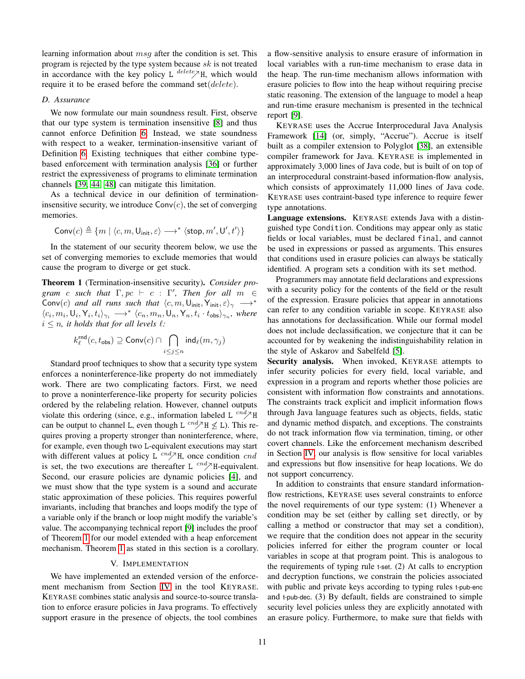learning information about  $msq$  after the condition is set. This program is rejected by the type system because  $sk$  is not treated in accordance with the key policy L  $^{delete}$  H, which would require it to be erased before the command  $set(delete)$ .

## *D. Assurance*

We now formulate our main soundness result. First, observe that our type system is termination insensitive [\[8\]](#page-12-8) and thus cannot enforce Definition [6.](#page-6-3) Instead, we state soundness with respect to a weaker, termination-insensitive variant of Definition [6.](#page-6-3) Existing techniques that either combine typebased enforcement with termination analysis [\[36\]](#page-13-13) or further restrict the expressiveness of programs to eliminate termination channels [\[39,](#page-13-10) [44,](#page-13-14) [48\]](#page-13-15) can mitigate this limitation.

As a technical device in our definition of terminationinsensitive security, we introduce  $Conv(c)$ , the set of converging memories.

$$
\mathsf{Conv}(c) \triangleq \{m \mid \langle c, m, \mathsf{U}_{\mathsf{init}}, \varepsilon \rangle \longrightarrow^* \langle \mathsf{stop}, m', \mathsf{U}', t' \rangle \}
$$

In the statement of our security theorem below, we use the set of converging memories to exclude memories that would cause the program to diverge or get stuck.

<span id="page-10-0"></span>Theorem 1 (Termination-insensitive security). *Consider program c such that*  $\Gamma, pc \vdash c : \Gamma'$ *, Then for all*  $m \in$ Conv(c) *and all runs such that*  $\langle c, m, U_{\text{init}}, Y_{\text{init}}, \varepsilon \rangle_{\gamma} \longrightarrow^*$  $\langle c_i, m_i, U_i, Y_i, t_i \rangle_{\gamma_i} \longrightarrow^* \langle c_n, m_n, U_n, Y_n, t_i \cdot t_{\text{obs}} \rangle_{\gamma_n}$ , where  $i \leq n$ , *it holds that for all levels*  $\ell$ *:* 

$$
k^{\mathsf{rnd}}_\ell(c, t_{\mathsf{obs}}) \supseteq \mathsf{Conv}(c) \cap \bigcap_{i \leq j \leq n} \mathsf{ind}_\ell(m, \gamma_j)
$$

Standard proof techniques to show that a security type system enforces a noninterference-like property do not immediately work. There are two complicating factors. First, we need to prove a noninterference-like property for security policies ordered by the relabeling relation. However, channel outputs violate this ordering (since, e.g., information labeled L  $\text{cm}^d/\text{H}$ can be output to channel L, even though L  $\text{cm}^2/\text{H} \not\leq L$ ). This requires proving a property stronger than noninterference, where, for example, even though two L-equivalent executions may start with different values at policy L  $\text{cmd}$  H, once condition cnd is set, the two executions are thereafter L  $\text{cnd}$ <sup>H</sup>-equivalent. Second, our erasure policies are dynamic policies [\[4\]](#page-12-6), and we must show that the type system is a sound and accurate static approximation of these policies. This requires powerful invariants, including that branches and loops modify the type of a variable only if the branch or loop might modify the variable's value. The accompanying technical report [\[9\]](#page-12-11) includes the proof of Theorem [1](#page-10-0) for our model extended with a heap enforcement mechanism. Theorem [1](#page-10-0) as stated in this section is a corollary.

#### V. IMPLEMENTATION

We have implemented an extended version of the enforcement mechanism from Section [IV](#page-7-0) in the tool KEYRASE. KEYRASE combines static analysis and source-to-source translation to enforce erasure policies in Java programs. To effectively support erasure in the presence of objects, the tool combines

a flow-sensitive analysis to ensure erasure of information in local variables with a run-time mechanism to erase data in the heap. The run-time mechanism allows information with erasure policies to flow into the heap without requiring precise static reasoning. The extension of the language to model a heap and run-time erasure mechanism is presented in the technical report [\[9\]](#page-12-11).

KEYRASE uses the Accrue Interprocedural Java Analysis Framework [\[14\]](#page-12-12) (or, simply, "Accrue"). Accrue is itself built as a compiler extension to Polyglot [\[38\]](#page-13-16), an extensible compiler framework for Java. KEYRASE is implemented in approximately 3,000 lines of Java code, but is built of on top of an interprocedural constraint-based information-flow analysis, which consists of approximately 11,000 lines of Java code. KEYRASE uses contraint-based type inference to require fewer type annotations.

Language extensions. KEYRASE extends Java with a distinguished type Condition. Conditions may appear only as static fields or local variables, must be declared final, and cannot be used in expressions or passed as arguments. This ensures that conditions used in erasure policies can always be statically identified. A program sets a condition with its set method.

Programmers may annotate field declarations and expressions with a security policy for the contents of the field or the result of the expression. Erasure policies that appear in annotations can refer to any condition variable in scope. KEYRASE also has annotations for declassification. While our formal model does not include declassification, we conjecture that it can be accounted for by weakening the indistinguishability relation in the style of Askarov and Sabelfeld [\[5\]](#page-12-9).

Security analysis. When invoked, KEYRASE attempts to infer security policies for every field, local variable, and expression in a program and reports whether those policies are consistent with information flow constraints and annotations. The constraints track explicit and implicit information flows through Java language features such as objects, fields, static and dynamic method dispatch, and exceptions. The constraints do not track information flow via termination, timing, or other covert channels. Like the enforcement mechanism described in Section [IV,](#page-7-0) our analysis is flow sensitive for local variables and expressions but flow insensitive for heap locations. We do not support concurrency.

In addition to constraints that ensure standard informationflow restrictions, KEYRASE uses several constraints to enforce the novel requirements of our type system: (1) Whenever a condition may be set (either by calling set directly, or by calling a method or constructor that may set a condition), we require that the condition does not appear in the security policies inferred for either the program counter or local variables in scope at that program point. This is analogous to the requirements of typing rule t-set. (2) At calls to encryption and decryption functions, we constrain the policies associated with public and private keys according to typing rules t-pub-enc and t-pub-dec. (3) By default, fields are constrained to simple security level policies unless they are explicitly annotated with an erasure policy. Furthermore, to make sure that fields with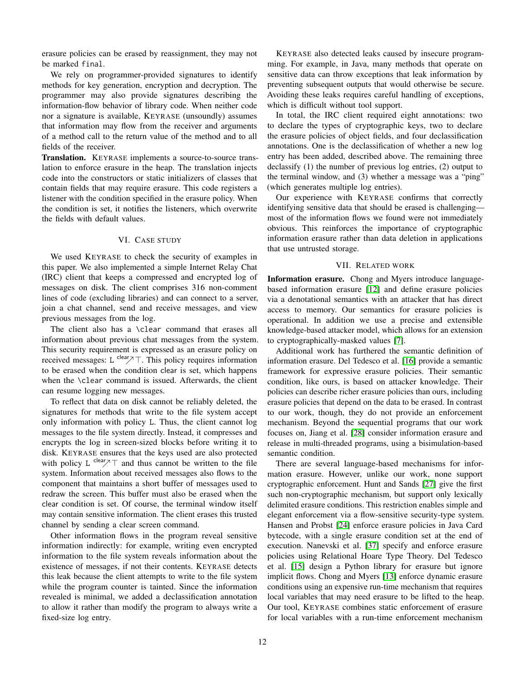erasure policies can be erased by reassignment, they may not be marked final.

We rely on programmer-provided signatures to identify methods for key generation, encryption and decryption. The programmer may also provide signatures describing the information-flow behavior of library code. When neither code nor a signature is available, KEYRASE (unsoundly) assumes that information may flow from the receiver and arguments of a method call to the return value of the method and to all fields of the receiver.

Translation. KEYRASE implements a source-to-source translation to enforce erasure in the heap. The translation injects code into the constructors or static initializers of classes that contain fields that may require erasure. This code registers a listener with the condition specified in the erasure policy. When the condition is set, it notifies the listeners, which overwrite the fields with default values.

# VI. CASE STUDY

We used KEYRASE to check the security of examples in this paper. We also implemented a simple Internet Relay Chat (IRC) client that keeps a compressed and encrypted log of messages on disk. The client comprises 316 non-comment lines of code (excluding libraries) and can connect to a server, join a chat channel, send and receive messages, and view previous messages from the log.

The client also has a \clear command that erases all information about previous chat messages from the system. This security requirement is expressed as an erasure policy on received messages: L  $\text{clear} \geq \top$ . This policy requires information to be erased when the condition clear is set, which happens when the \clear command is issued. Afterwards, the client can resume logging new messages.

To reflect that data on disk cannot be reliably deleted, the signatures for methods that write to the file system accept only information with policy L. Thus, the client cannot log messages to the file system directly. Instead, it compresses and encrypts the log in screen-sized blocks before writing it to disk. KEYRASE ensures that the keys used are also protected with policy L  $\text{clear} \nearrow \top$  and thus cannot be written to the file system. Information about received messages also flows to the component that maintains a short buffer of messages used to redraw the screen. This buffer must also be erased when the clear condition is set. Of course, the terminal window itself may contain sensitive information. The client erases this trusted channel by sending a clear screen command.

Other information flows in the program reveal sensitive information indirectly: for example, writing even encrypted information to the file system reveals information about the existence of messages, if not their contents. KEYRASE detects this leak because the client attempts to write to the file system while the program counter is tainted. Since the information revealed is minimal, we added a declassification annotation to allow it rather than modify the program to always write a fixed-size log entry.

KEYRASE also detected leaks caused by insecure programming. For example, in Java, many methods that operate on sensitive data can throw exceptions that leak information by preventing subsequent outputs that would otherwise be secure. Avoiding these leaks requires careful handling of exceptions, which is difficult without tool support.

In total, the IRC client required eight annotations: two to declare the types of cryptographic keys, two to declare the erasure policies of object fields, and four declassification annotations. One is the declassification of whether a new log entry has been added, described above. The remaining three declassify (1) the number of previous log entries, (2) output to the terminal window, and (3) whether a message was a "ping" (which generates multiple log entries).

Our experience with KEYRASE confirms that correctly identifying sensitive data that should be erased is challenging most of the information flows we found were not immediately obvious. This reinforces the importance of cryptographic information erasure rather than data deletion in applications that use untrusted storage.

## VII. RELATED WORK

Information erasure. Chong and Myers introduce languagebased information erasure [\[12\]](#page-12-3) and define erasure policies via a denotational semantics with an attacker that has direct access to memory. Our semantics for erasure policies is operational. In addition we use a precise and extensible knowledge-based attacker model, which allows for an extension to cryptographically-masked values [\[7\]](#page-12-13).

Additional work has furthered the semantic definition of information erasure. Del Tedesco et al. [\[16\]](#page-12-5) provide a semantic framework for expressive erasure policies. Their semantic condition, like ours, is based on attacker knowledge. Their policies can describe richer erasure policies than ours, including erasure policies that depend on the data to be erased. In contrast to our work, though, they do not provide an enforcement mechanism. Beyond the sequential programs that our work focuses on, Jiang et al. [\[28\]](#page-13-17) consider information erasure and release in multi-threaded programs, using a bisimulation-based semantic condition.

There are several language-based mechanisms for information erasure. However, unlike our work, none support cryptographic enforcement. Hunt and Sands [\[27\]](#page-13-7) give the first such non-cryptographic mechanism, but support only lexically delimited erasure conditions. This restriction enables simple and elegant enforcement via a flow-sensitive security-type system. Hansen and Probst [\[24\]](#page-13-18) enforce erasure policies in Java Card bytecode, with a single erasure condition set at the end of execution. Nanevski et al. [\[37\]](#page-13-19) specify and enforce erasure policies using Relational Hoare Type Theory. Del Tedesco et al. [\[15\]](#page-12-14) design a Python library for erasure but ignore implicit flows. Chong and Myers [\[13\]](#page-12-4) enforce dynamic erasure conditions using an expensive run-time mechanism that requires local variables that may need erasure to be lifted to the heap. Our tool, KEYRASE combines static enforcement of erasure for local variables with a run-time enforcement mechanism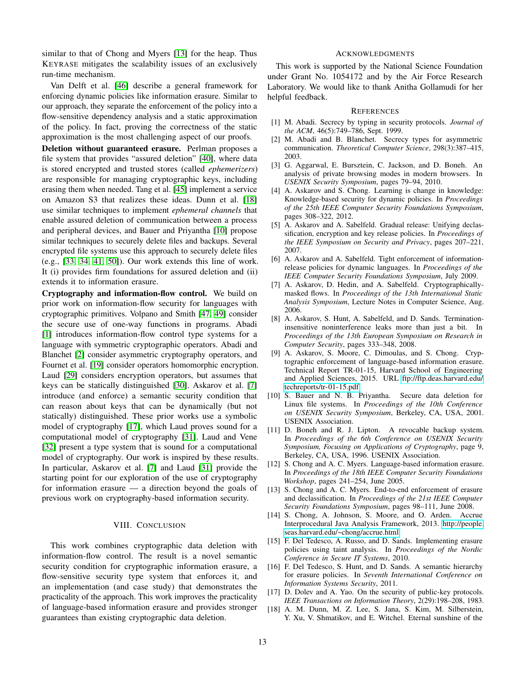similar to that of Chong and Myers [\[13\]](#page-12-4) for the heap. Thus KEYRASE mitigates the scalability issues of an exclusively run-time mechanism.

Van Delft et al. [\[46\]](#page-13-20) describe a general framework for enforcing dynamic policies like information erasure. Similar to our approach, they separate the enforcement of the policy into a flow-sensitive dependency analysis and a static approximation of the policy. In fact, proving the correctness of the static approximation is the most challenging aspect of our proofs.

Deletion without guaranteed erasure. Perlman proposes a file system that provides "assured deletion" [\[40\]](#page-13-21), where data is stored encrypted and trusted stores (called *ephemerizers*) are responsible for managing cryptographic keys, including erasing them when needed. Tang et al. [\[45\]](#page-13-9) implement a service on Amazon S3 that realizes these ideas. Dunn et al. [\[18\]](#page-12-15) use similar techniques to implement *ephemeral channels* that enable assured deletion of communication between a process and peripheral devices, and Bauer and Priyantha [\[10\]](#page-12-1) propose similar techniques to securely delete files and backups. Several encrypted file systems use this approach to securely delete files (e.g., [\[33,](#page-13-22) [34,](#page-13-23) [41,](#page-13-24) [50\]](#page-13-25)). Our work extends this line of work. It (i) provides firm foundations for assured deletion and (ii) extends it to information erasure.

Cryptography and information-flow control. We build on prior work on information-flow security for languages with cryptographic primitives. Volpano and Smith [\[47,](#page-13-26) [49\]](#page-13-27) consider the secure use of one-way functions in programs. Abadi [\[1\]](#page-12-16) introduces information-flow control type systems for a language with symmetric cryptographic operators. Abadi and Blanchet [\[2\]](#page-12-17) consider asymmetric cryptography operators, and Fournet et al. [\[19\]](#page-13-28) consider operators homomorphic encryption. Laud [\[29\]](#page-13-29) considers encryption operators, but assumes that keys can be statically distinguished [\[30\]](#page-13-30). Askarov et al. [\[7\]](#page-12-13) introduce (and enforce) a semantic security condition that can reason about keys that can be dynamically (but not statically) distinguished. These prior works use a symbolic model of cryptography [\[17\]](#page-12-10), which Laud proves sound for a computational model of cryptography [\[31\]](#page-13-11). Laud and Vene [\[32\]](#page-13-31) present a type system that is sound for a computational model of cryptography. Our work is inspired by these results. In particular, Askarov et al. [\[7\]](#page-12-13) and Laud [\[31\]](#page-13-11) provide the starting point for our exploration of the use of cryptography for information erasure — a direction beyond the goals of previous work on cryptography-based information security.

### VIII. CONCLUSION

This work combines cryptographic data deletion with information-flow control. The result is a novel semantic security condition for cryptographic information erasure, a flow-sensitive security type system that enforces it, and an implementation (and case study) that demonstrates the practicality of the approach. This work improves the practicality of language-based information erasure and provides stronger guarantees than existing cryptographic data deletion.

### ACKNOWLEDGMENTS

This work is supported by the National Science Foundation under Grant No. 1054172 and by the Air Force Research Laboratory. We would like to thank Anitha Gollamudi for her helpful feedback.

#### **REFERENCES**

- <span id="page-12-16"></span>[1] M. Abadi. Secrecy by typing in security protocols. *Journal of the ACM*, 46(5):749–786, Sept. 1999.
- <span id="page-12-17"></span>[2] M. Abadi and B. Blanchet. Secrecy types for asymmetric communication. *Theoretical Computer Science*, 298(3):387–415, 2003.
- <span id="page-12-0"></span>[3] G. Aggarwal, E. Bursztein, C. Jackson, and D. Boneh. An analysis of private browsing modes in modern browsers. In *USENIX Security Symposium*, pages 79–94, 2010.
- <span id="page-12-6"></span>[4] A. Askarov and S. Chong. Learning is change in knowledge: Knowledge-based security for dynamic policies. In *Proceedings of the 25th IEEE Computer Security Foundations Symposium*, pages 308–322, 2012.
- <span id="page-12-9"></span>[5] A. Askarov and A. Sabelfeld. Gradual release: Unifying declassification, encryption and key release policies. In *Proceedings of the IEEE Symposium on Security and Privacy*, pages 207–221, 2007.
- <span id="page-12-7"></span>[6] A. Askarov and A. Sabelfeld. Tight enforcement of informationrelease policies for dynamic languages. In *Proceedings of the IEEE Computer Security Foundations Symposium*, July 2009.
- <span id="page-12-13"></span>[7] A. Askarov, D. Hedin, and A. Sabelfeld. Cryptographicallymasked flows. In *Proceedings of the 13th International Static Analysis Symposium*, Lecture Notes in Computer Science, Aug. 2006.
- <span id="page-12-8"></span>[8] A. Askarov, S. Hunt, A. Sabelfeld, and D. Sands. Terminationinsensitive noninterference leaks more than just a bit. In *Proceedings of the 13th European Symposium on Research in Computer Security*, pages 333–348, 2008.
- <span id="page-12-11"></span>[9] A. Askarov, S. Moore, C. Dimoulas, and S. Chong. Cryptographic enforcement of language-based information erasure. Technical Report TR-01-15, Harvard School of Engineering and Applied Sciences, 2015. URL [ftp://ftp.deas.harvard.edu/](ftp://ftp.deas.harvard.edu/techreports/tr-01-15.pdf) [techreports/tr-01-15.pdf.](ftp://ftp.deas.harvard.edu/techreports/tr-01-15.pdf)
- <span id="page-12-1"></span>[10] S. Bauer and N. B. Priyantha. Secure data deletion for Linux file systems. In *Proceedings of the 10th Conference on USENIX Security Symposium*, Berkeley, CA, USA, 2001. USENIX Association.
- <span id="page-12-2"></span>[11] D. Boneh and R. J. Lipton. A revocable backup system. In *Proceedings of the 6th Conference on USENIX Security Symposium, Focusing on Applications of Cryptography*, page 9, Berkeley, CA, USA, 1996. USENIX Association.
- <span id="page-12-3"></span>[12] S. Chong and A. C. Myers. Language-based information erasure. In *Proceedings of the 18th IEEE Computer Security Foundations Workshop*, pages 241–254, June 2005.
- <span id="page-12-4"></span>[13] S. Chong and A. C. Myers. End-to-end enforcement of erasure and declassification. In *Proceedings of the 21st IEEE Computer Security Foundations Symposium*, pages 98–111, June 2008.
- <span id="page-12-12"></span>[14] S. Chong, A. Johnson, S. Moore, and O. Arden. Accrue Interprocedural Java Analysis Framework, 2013. [http://people.](http://people.seas.harvard.edu/~chong/accrue.html) [seas.harvard.edu/~chong/accrue.html.](http://people.seas.harvard.edu/~chong/accrue.html)
- <span id="page-12-14"></span>[15] F. Del Tedesco, A. Russo, and D. Sands. Implementing erasure policies using taint analysis. In *Proceedings of the Nordic Conference in Secure IT Systems*, 2010.
- <span id="page-12-5"></span>[16] F. Del Tedesco, S. Hunt, and D. Sands. A semantic hierarchy for erasure policies. In *Seventh International Conference on Information Systems Security*, 2011.
- <span id="page-12-10"></span>[17] D. Dolev and A. Yao. On the security of public-key protocols. *IEEE Transactions on Information Theory*, 2(29):198–208, 1983.
- <span id="page-12-15"></span>[18] A. M. Dunn, M. Z. Lee, S. Jana, S. Kim, M. Silberstein, Y. Xu, V. Shmatikov, and E. Witchel. Eternal sunshine of the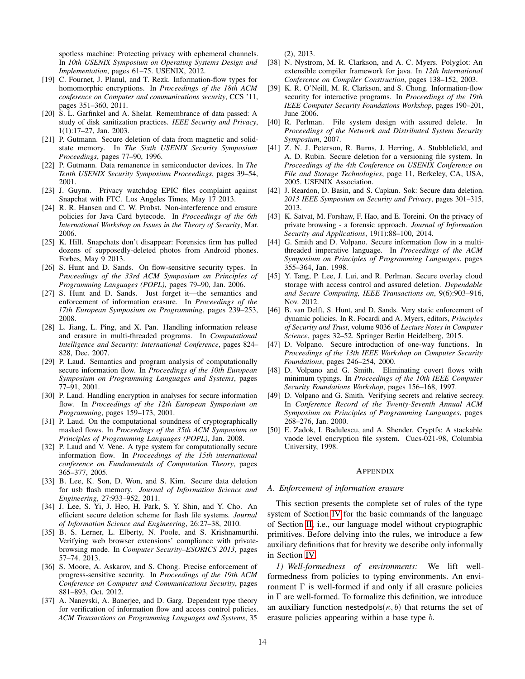spotless machine: Protecting privacy with ephemeral channels. In *10th USENIX Symposium on Operating Systems Design and Implementation*, pages 61–75. USENIX, 2012.

- <span id="page-13-28"></span>[19] C. Fournet, J. Planul, and T. Rezk. Information-flow types for homomorphic encryptions. In *Proceedings of the 18th ACM conference on Computer and communications security*, CCS '11, pages 351–360, 2011.
- <span id="page-13-4"></span>[20] S. L. Garfinkel and A. Shelat. Remembrance of data passed: A study of disk sanitization practices. *IEEE Security and Privacy*, 1(1):17–27, Jan. 2003.
- <span id="page-13-5"></span>[21] P. Gutmann. Secure deletion of data from magnetic and solidstate memory. In *The Sixth USENIX Security Symposium Proceedings*, pages 77–90, 1996.
- <span id="page-13-6"></span>[22] P. Gutmann. Data remanence in semiconductor devices. In *The Tenth USENIX Security Symposium Proceedings*, pages 39–54, 2001.
- <span id="page-13-3"></span>[23] J. Guynn. Privacy watchdog EPIC files complaint against Snapchat with FTC. Los Angeles Times, May 17 2013.
- <span id="page-13-18"></span>[24] R. R. Hansen and C. W. Probst. Non-interference and erasure policies for Java Card bytecode. In *Proceedings of the 6th International Workshop on Issues in the Theory of Security*, Mar. 2006.
- <span id="page-13-2"></span>[25] K. Hill. Snapchats don't disappear: Forensics firm has pulled dozens of supposedly-deleted photos from Android phones. Forbes, May 9 2013.
- <span id="page-13-12"></span>[26] S. Hunt and D. Sands. On flow-sensitive security types. In *Proceedings of the 33rd ACM Symposium on Principles of Programming Languages (POPL)*, pages 79–90, Jan. 2006.
- <span id="page-13-7"></span>[27] S. Hunt and D. Sands. Just forget it—the semantics and enforcement of information erasure. In *Proceedings of the 17th European Symposium on Programming*, pages 239–253, 2008.
- <span id="page-13-17"></span>[28] L. Jiang, L. Ping, and X. Pan. Handling information release and erasure in multi-threaded programs. In *Computational Intelligence and Security: International Conference*, pages 824– 828, Dec. 2007.
- <span id="page-13-29"></span>[29] P. Laud. Semantics and program analysis of computationally secure information flow. In *Proceedings of the 10th European Symposium on Programming Languages and Systems*, pages 77–91, 2001.
- <span id="page-13-30"></span>[30] P. Laud. Handling encryption in analyses for secure information flow. In *Proceedings of the 12th European Symposium on Programming*, pages 159–173, 2001.
- <span id="page-13-11"></span>[31] P. Laud. On the computational soundness of cryptographically masked flows. In *Proceedings of the 35th ACM Symposium on Principles of Programming Languages (POPL)*, Jan. 2008.
- <span id="page-13-31"></span>[32] P. Laud and V. Vene. A type system for computationally secure information flow. In *Proceedings of the 15th international conference on Fundamentals of Computation Theory*, pages 365–377, 2005.
- <span id="page-13-22"></span>[33] B. Lee, K. Son, D. Won, and S. Kim. Secure data deletion for usb flash memory. *Journal of Information Science and Engineering*, 27:933–952, 2011.
- <span id="page-13-23"></span>[34] J. Lee, S. Yi, J. Heo, H. Park, S. Y. Shin, and Y. Cho. An efficient secure deletion scheme for flash file systems. *Journal of Information Science and Engineering*, 26:27–38, 2010.
- <span id="page-13-0"></span>[35] B. S. Lerner, L. Elberty, N. Poole, and S. Krishnamurthi. Verifying web browser extensions' compliance with privatebrowsing mode. In *Computer Security–ESORICS 2013*, pages 57–74. 2013.
- <span id="page-13-13"></span>[36] S. Moore, A. Askarov, and S. Chong. Precise enforcement of progress-sensitive security. In *Proceedings of the 19th ACM Conference on Computer and Communications Security*, pages 881–893, Oct. 2012.
- <span id="page-13-19"></span>[37] A. Nanevski, A. Banerjee, and D. Garg. Dependent type theory for verification of information flow and access control policies. *ACM Transactions on Programming Languages and Systems*, 35

(2), 2013.

- <span id="page-13-16"></span>[38] N. Nystrom, M. R. Clarkson, and A. C. Myers. Polyglot: An extensible compiler framework for java. In *12th International Conference on Compiler Construction*, pages 138–152, 2003.
- <span id="page-13-10"></span>[39] K. R. O'Neill, M. R. Clarkson, and S. Chong. Information-flow security for interactive programs. In *Proceedings of the 19th IEEE Computer Security Foundations Workshop*, pages 190–201, June 2006.
- <span id="page-13-21"></span>[40] R. Perlman. File system design with assured delete. In *Proceedings of the Network and Distributed System Security Symposium*, 2007.
- <span id="page-13-24"></span>[41] Z. N. J. Peterson, R. Burns, J. Herring, A. Stubblefield, and A. D. Rubin. Secure deletion for a versioning file system. In *Proceedings of the 4th Conference on USENIX Conference on File and Storage Technologies*, page 11, Berkeley, CA, USA, 2005. USENIX Association.
- <span id="page-13-8"></span>[42] J. Reardon, D. Basin, and S. Capkun. Sok: Secure data deletion. *2013 IEEE Symposium on Security and Privacy*, pages 301–315, 2013.
- <span id="page-13-1"></span>[43] K. Satvat, M. Forshaw, F. Hao, and E. Toreini. On the privacy of private browsing - a forensic approach. *Journal of Information Security and Applications*, 19(1):88–100, 2014.
- <span id="page-13-14"></span>[44] G. Smith and D. Volpano. Secure information flow in a multithreaded imperative language. In *Proceedings of the ACM Symposium on Principles of Programming Languages*, pages 355–364, Jan. 1998.
- <span id="page-13-9"></span>[45] Y. Tang, P. Lee, J. Lui, and R. Perlman. Secure overlay cloud storage with access control and assured deletion. *Dependable and Secure Computing, IEEE Transactions on*, 9(6):903–916, Nov. 2012.
- <span id="page-13-20"></span>[46] B. van Delft, S. Hunt, and D. Sands. Very static enforcement of dynamic policies. In R. Focardi and A. Myers, editors, *Principles of Security and Trust*, volume 9036 of *Lecture Notes in Computer Science*, pages 32–52. Springer Berlin Heidelberg, 2015.
- <span id="page-13-26"></span>[47] D. Volpano. Secure introduction of one-way functions. In *Proceedings of the 13th IEEE Workshop on Computer Security Foundations*, pages 246–254, 2000.
- <span id="page-13-15"></span>[48] D. Volpano and G. Smith. Eliminating covert flows with minimum typings. In *Proceedings of the 10th IEEE Computer Security Foundations Workshop*, pages 156–168, 1997.
- <span id="page-13-27"></span>[49] D. Volpano and G. Smith. Verifying secrets and relative secrecy. In *Conference Record of the Twenty-Seventh Annual ACM Symposium on Principles of Programming Languages*, pages 268–276, Jan. 2000.
- <span id="page-13-25"></span>[50] E. Zadok, I. Badulescu, and A. Shender. Cryptfs: A stackable vnode level encryption file system. Cucs-021-98, Columbia University, 1998.

## APPENDIX

#### *A. Enforcement of information erasure*

This section presents the complete set of rules of the type system of Section [IV](#page-7-0) for the basic commands of the language of Section [II,](#page-2-7) i.e., our language model without cryptographic primitives. Before delving into the rules, we introduce a few auxiliary definitions that for brevity we describe only informally in Section [IV.](#page-7-0)

*1) Well-formedness of environments:* We lift wellformedness from policies to typing environments. An environment  $\Gamma$  is well-formed if and only if all erasure policies in  $\Gamma$  are well-formed. To formalize this definition, we introduce an auxiliary function nestedpols $(\kappa, b)$  that returns the set of erasure policies appearing within a base type b.